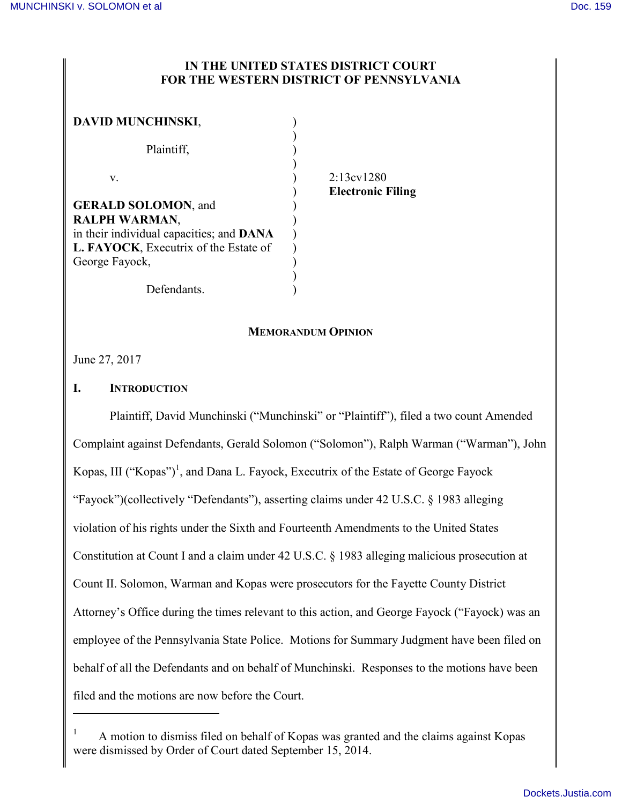# **IN THE UNITED STATES DISTRICT COURT FOR THE WESTERN DISTRICT OF PENNSYLVANIA**

| <b>DAVID MUNCHINSKI,</b>                                                          |  |
|-----------------------------------------------------------------------------------|--|
| Plaintiff,                                                                        |  |
| V.                                                                                |  |
| <b>GERALD SOLOMON, and</b><br><b>RALPH WARMAN,</b>                                |  |
| in their individual capacities; and DANA<br>L. FAYOCK, Executrix of the Estate of |  |
| George Fayock,                                                                    |  |
| Defendants.                                                                       |  |

v. ) 2:13cv1280 ) **Electronic Filing**

## **MEMORANDUM OPINION**

June 27, 2017

 $\overline{a}$ 

# **I. INTRODUCTION**

Plaintiff, David Munchinski ("Munchinski" or "Plaintiff"), filed a two count Amended Complaint against Defendants, Gerald Solomon ("Solomon"), Ralph Warman ("Warman"), John Kopas, III ("Kopas")<sup>1</sup>, and Dana L. Fayock, Executrix of the Estate of George Fayock "Fayock")(collectively "Defendants"), asserting claims under 42 U.S.C. § 1983 alleging violation of his rights under the Sixth and Fourteenth Amendments to the United States Constitution at Count I and a claim under 42 U.S.C. § 1983 alleging malicious prosecution at Count II. Solomon, Warman and Kopas were prosecutors for the Fayette County District Attorney's Office during the times relevant to this action, and George Fayock ("Fayock) was an employee of the Pennsylvania State Police. Motions for Summary Judgment have been filed on behalf of all the Defendants and on behalf of Munchinski. Responses to the motions have been filed and the motions are now before the Court.

<sup>1</sup> A motion to dismiss filed on behalf of Kopas was granted and the claims against Kopas were dismissed by Order of Court dated September 15, 2014.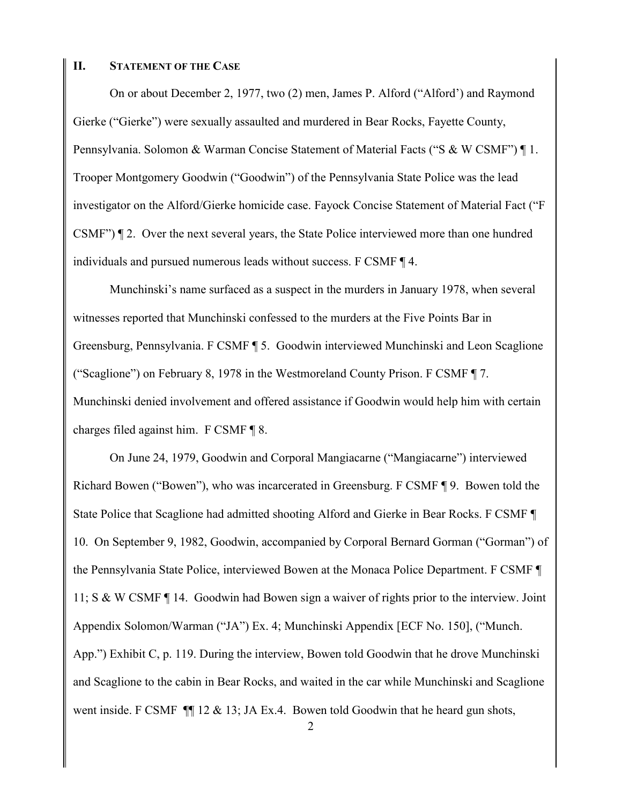### **II. STATEMENT OF THE CASE**

On or about December 2, 1977, two (2) men, James P. Alford ("Alford') and Raymond Gierke ("Gierke") were sexually assaulted and murdered in Bear Rocks, Fayette County, Pennsylvania. Solomon & Warman Concise Statement of Material Facts ("S & W CSMF") ¶ 1. Trooper Montgomery Goodwin ("Goodwin") of the Pennsylvania State Police was the lead investigator on the Alford/Gierke homicide case. Fayock Concise Statement of Material Fact ("F CSMF") ¶ 2. Over the next several years, the State Police interviewed more than one hundred individuals and pursued numerous leads without success. F CSMF ¶ 4.

Munchinski's name surfaced as a suspect in the murders in January 1978, when several witnesses reported that Munchinski confessed to the murders at the Five Points Bar in Greensburg, Pennsylvania. F CSMF ¶ 5. Goodwin interviewed Munchinski and Leon Scaglione ("Scaglione") on February 8, 1978 in the Westmoreland County Prison. F CSMF ¶ 7. Munchinski denied involvement and offered assistance if Goodwin would help him with certain charges filed against him. F CSMF ¶ 8.

On June 24, 1979, Goodwin and Corporal Mangiacarne ("Mangiacarne") interviewed Richard Bowen ("Bowen"), who was incarcerated in Greensburg. F CSMF ¶ 9. Bowen told the State Police that Scaglione had admitted shooting Alford and Gierke in Bear Rocks. F CSMF ¶ 10. On September 9, 1982, Goodwin, accompanied by Corporal Bernard Gorman ("Gorman") of the Pennsylvania State Police, interviewed Bowen at the Monaca Police Department. F CSMF ¶ 11; S & W CSMF ¶ 14. Goodwin had Bowen sign a waiver of rights prior to the interview. Joint Appendix Solomon/Warman ("JA") Ex. 4; Munchinski Appendix [ECF No. 150], ("Munch. App.") Exhibit C, p. 119. During the interview, Bowen told Goodwin that he drove Munchinski and Scaglione to the cabin in Bear Rocks, and waited in the car while Munchinski and Scaglione went inside. F CSMF  $\P$  12 & 13; JA Ex.4. Bowen told Goodwin that he heard gun shots,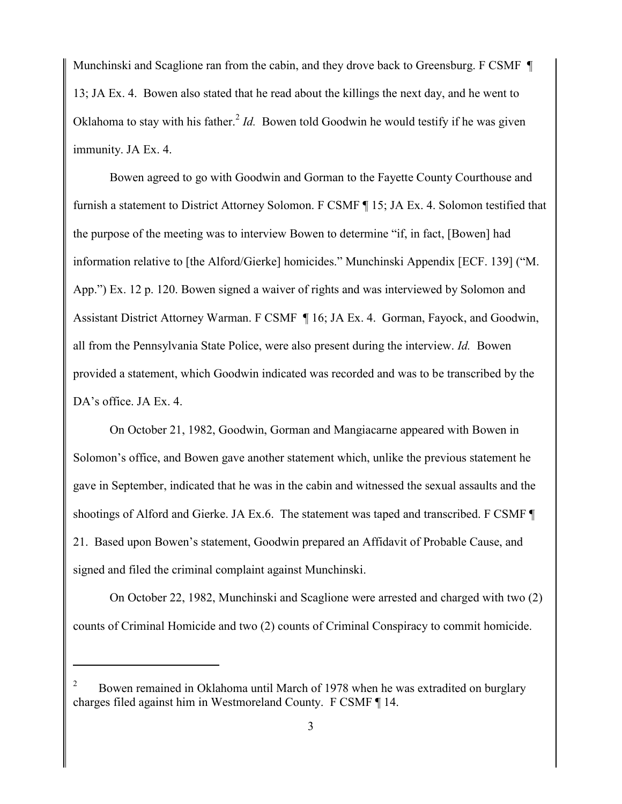Munchinski and Scaglione ran from the cabin, and they drove back to Greensburg. F CSMF 13; JA Ex. 4. Bowen also stated that he read about the killings the next day, and he went to Oklahoma to stay with his father.<sup>2</sup> *Id*. Bowen told Goodwin he would testify if he was given immunity. JA Ex. 4.

Bowen agreed to go with Goodwin and Gorman to the Fayette County Courthouse and furnish a statement to District Attorney Solomon. F CSMF ¶ 15; JA Ex. 4. Solomon testified that the purpose of the meeting was to interview Bowen to determine "if, in fact, [Bowen] had information relative to [the Alford/Gierke] homicides." Munchinski Appendix [ECF. 139] ("M. App.") Ex. 12 p. 120. Bowen signed a waiver of rights and was interviewed by Solomon and Assistant District Attorney Warman. F CSMF ¶ 16; JA Ex. 4. Gorman, Fayock, and Goodwin, all from the Pennsylvania State Police, were also present during the interview. *Id.* Bowen provided a statement, which Goodwin indicated was recorded and was to be transcribed by the DA's office. JA Ex. 4.

On October 21, 1982, Goodwin, Gorman and Mangiacarne appeared with Bowen in Solomon's office, and Bowen gave another statement which, unlike the previous statement he gave in September, indicated that he was in the cabin and witnessed the sexual assaults and the shootings of Alford and Gierke. JA Ex.6. The statement was taped and transcribed. F CSMF ¶ 21. Based upon Bowen's statement, Goodwin prepared an Affidavit of Probable Cause, and signed and filed the criminal complaint against Munchinski.

On October 22, 1982, Munchinski and Scaglione were arrested and charged with two (2) counts of Criminal Homicide and two (2) counts of Criminal Conspiracy to commit homicide.

<sup>2</sup> Bowen remained in Oklahoma until March of 1978 when he was extradited on burglary charges filed against him in Westmoreland County. F CSMF ¶ 14.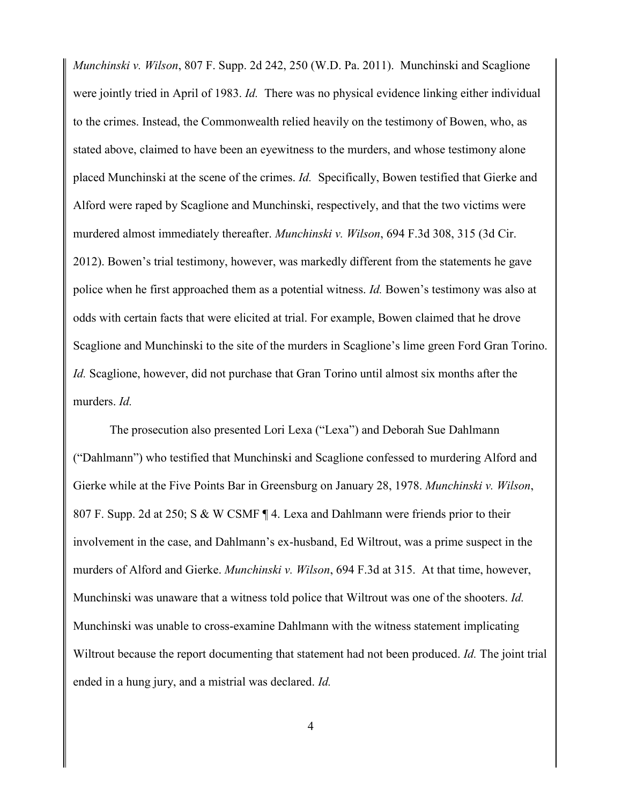*Munchinski v. Wilson*, 807 F. Supp. 2d 242, 250 (W.D. Pa. 2011). Munchinski and Scaglione were jointly tried in April of 1983. *Id.* There was no physical evidence linking either individual to the crimes. Instead, the Commonwealth relied heavily on the testimony of Bowen, who, as stated above, claimed to have been an eyewitness to the murders, and whose testimony alone placed Munchinski at the scene of the crimes. *Id.* Specifically, Bowen testified that Gierke and Alford were raped by Scaglione and Munchinski, respectively, and that the two victims were murdered almost immediately thereafter. *Munchinski v. Wilson*, 694 F.3d 308, 315 (3d Cir. 2012). Bowen's trial testimony, however, was markedly different from the statements he gave police when he first approached them as a potential witness. *Id.* Bowen's testimony was also at odds with certain facts that were elicited at trial. For example, Bowen claimed that he drove Scaglione and Munchinski to the site of the murders in Scaglione's lime green Ford Gran Torino. *Id.* Scaglione, however, did not purchase that Gran Torino until almost six months after the murders. *Id.*

The prosecution also presented Lori Lexa ("Lexa") and Deborah Sue Dahlmann ("Dahlmann") who testified that Munchinski and Scaglione confessed to murdering Alford and Gierke while at the Five Points Bar in Greensburg on January 28, 1978. *Munchinski v. Wilson*, 807 F. Supp. 2d at 250; S & W CSMF ¶ 4. Lexa and Dahlmann were friends prior to their involvement in the case, and Dahlmann's ex-husband, Ed Wiltrout, was a prime suspect in the murders of Alford and Gierke. *Munchinski v. Wilson*, 694 F.3d at 315. At that time, however, Munchinski was unaware that a witness told police that Wiltrout was one of the shooters. *Id.* Munchinski was unable to cross-examine Dahlmann with the witness statement implicating Wiltrout because the report documenting that statement had not been produced. *Id.* The joint trial ended in a hung jury, and a mistrial was declared. *Id.*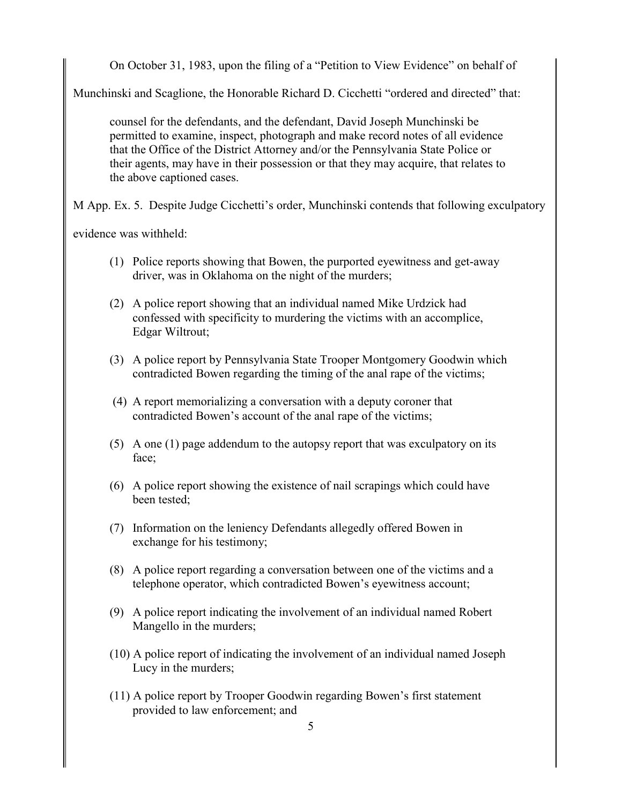On October 31, 1983, upon the filing of a "Petition to View Evidence" on behalf of

Munchinski and Scaglione, the Honorable Richard D. Cicchetti "ordered and directed" that:

counsel for the defendants, and the defendant, David Joseph Munchinski be permitted to examine, inspect, photograph and make record notes of all evidence that the Office of the District Attorney and/or the Pennsylvania State Police or their agents, may have in their possession or that they may acquire, that relates to the above captioned cases.

M App. Ex. 5. Despite Judge Cicchetti's order, Munchinski contends that following exculpatory

evidence was withheld:

- (1) Police reports showing that Bowen, the purported eyewitness and get-away driver, was in Oklahoma on the night of the murders;
- (2) A police report showing that an individual named Mike Urdzick had confessed with specificity to murdering the victims with an accomplice, Edgar Wiltrout;
- (3) A police report by Pennsylvania State Trooper Montgomery Goodwin which contradicted Bowen regarding the timing of the anal rape of the victims;
- (4) A report memorializing a conversation with a deputy coroner that contradicted Bowen's account of the anal rape of the victims;
- (5) A one (1) page addendum to the autopsy report that was exculpatory on its face;
- (6) A police report showing the existence of nail scrapings which could have been tested;
- (7) Information on the leniency Defendants allegedly offered Bowen in exchange for his testimony;
- (8) A police report regarding a conversation between one of the victims and a telephone operator, which contradicted Bowen's eyewitness account;
- (9) A police report indicating the involvement of an individual named Robert Mangello in the murders;
- (10) A police report of indicating the involvement of an individual named Joseph Lucy in the murders;
- (11) A police report by Trooper Goodwin regarding Bowen's first statement provided to law enforcement; and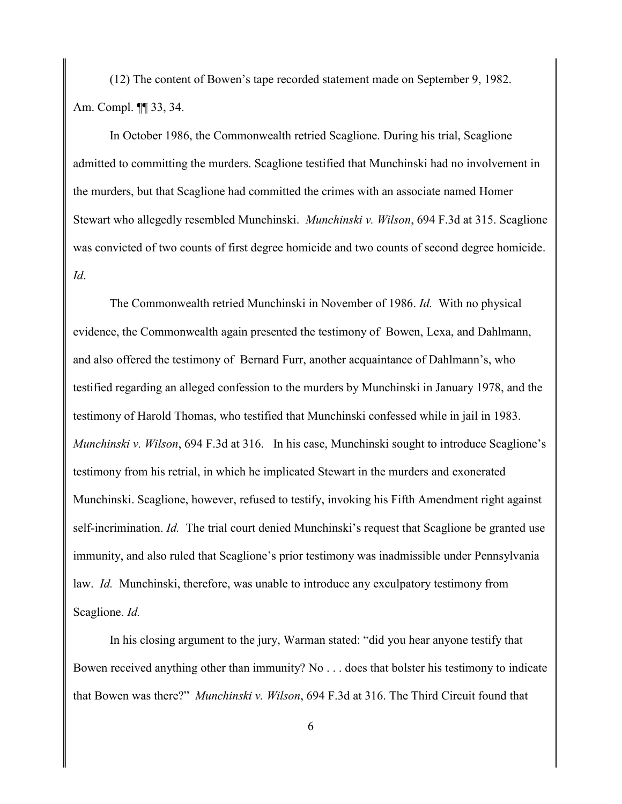(12) The content of Bowen's tape recorded statement made on September 9, 1982. Am. Compl. ¶¶ 33, 34.

In October 1986, the Commonwealth retried Scaglione. During his trial, Scaglione admitted to committing the murders. Scaglione testified that Munchinski had no involvement in the murders, but that Scaglione had committed the crimes with an associate named Homer Stewart who allegedly resembled Munchinski. *Munchinski v. Wilson*, 694 F.3d at 315. Scaglione was convicted of two counts of first degree homicide and two counts of second degree homicide. *Id*.

The Commonwealth retried Munchinski in November of 1986. *Id.* With no physical evidence, the Commonwealth again presented the testimony of Bowen, Lexa, and Dahlmann, and also offered the testimony of Bernard Furr, another acquaintance of Dahlmann's, who testified regarding an alleged confession to the murders by Munchinski in January 1978, and the testimony of Harold Thomas, who testified that Munchinski confessed while in jail in 1983. *Munchinski v. Wilson*, 694 F.3d at 316. In his case, Munchinski sought to introduce Scaglione's testimony from his retrial, in which he implicated Stewart in the murders and exonerated Munchinski. Scaglione, however, refused to testify, invoking his Fifth Amendment right against self-incrimination. *Id.* The trial court denied Munchinski's request that Scaglione be granted use immunity, and also ruled that Scaglione's prior testimony was inadmissible under Pennsylvania law. *Id.* Munchinski, therefore, was unable to introduce any exculpatory testimony from Scaglione. *Id.* 

In his closing argument to the jury, Warman stated: "did you hear anyone testify that Bowen received anything other than immunity? No . . . does that bolster his testimony to indicate that Bowen was there?" *Munchinski v. Wilson*, 694 F.3d at 316. The Third Circuit found that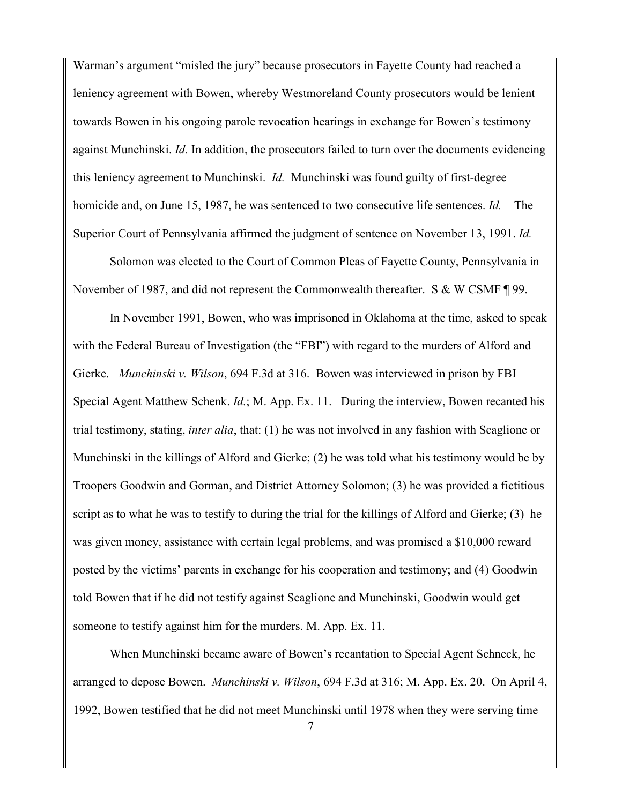Warman's argument "misled the jury" because prosecutors in Fayette County had reached a leniency agreement with Bowen, whereby Westmoreland County prosecutors would be lenient towards Bowen in his ongoing parole revocation hearings in exchange for Bowen's testimony against Munchinski. *Id.* In addition, the prosecutors failed to turn over the documents evidencing this leniency agreement to Munchinski. *Id.* Munchinski was found guilty of first-degree homicide and, on June 15, 1987, he was sentenced to two consecutive life sentences. *Id.* The Superior Court of Pennsylvania affirmed the judgment of sentence on November 13, 1991. *Id.*

Solomon was elected to the Court of Common Pleas of Fayette County, Pennsylvania in November of 1987, and did not represent the Commonwealth thereafter. S & W CSMF ¶ 99.

In November 1991, Bowen, who was imprisoned in Oklahoma at the time, asked to speak with the Federal Bureau of Investigation (the "FBI") with regard to the murders of Alford and Gierke. *Munchinski v. Wilson*, 694 F.3d at 316. Bowen was interviewed in prison by FBI Special Agent Matthew Schenk. *Id.*; M. App. Ex. 11. During the interview, Bowen recanted his trial testimony, stating, *inter alia*, that: (1) he was not involved in any fashion with Scaglione or Munchinski in the killings of Alford and Gierke; (2) he was told what his testimony would be by Troopers Goodwin and Gorman, and District Attorney Solomon; (3) he was provided a fictitious script as to what he was to testify to during the trial for the killings of Alford and Gierke; (3) he was given money, assistance with certain legal problems, and was promised a \$10,000 reward posted by the victims' parents in exchange for his cooperation and testimony; and (4) Goodwin told Bowen that if he did not testify against Scaglione and Munchinski, Goodwin would get someone to testify against him for the murders. M. App. Ex. 11.

When Munchinski became aware of Bowen's recantation to Special Agent Schneck, he arranged to depose Bowen. *Munchinski v. Wilson*, 694 F.3d at 316; M. App. Ex. 20. On April 4, 1992, Bowen testified that he did not meet Munchinski until 1978 when they were serving time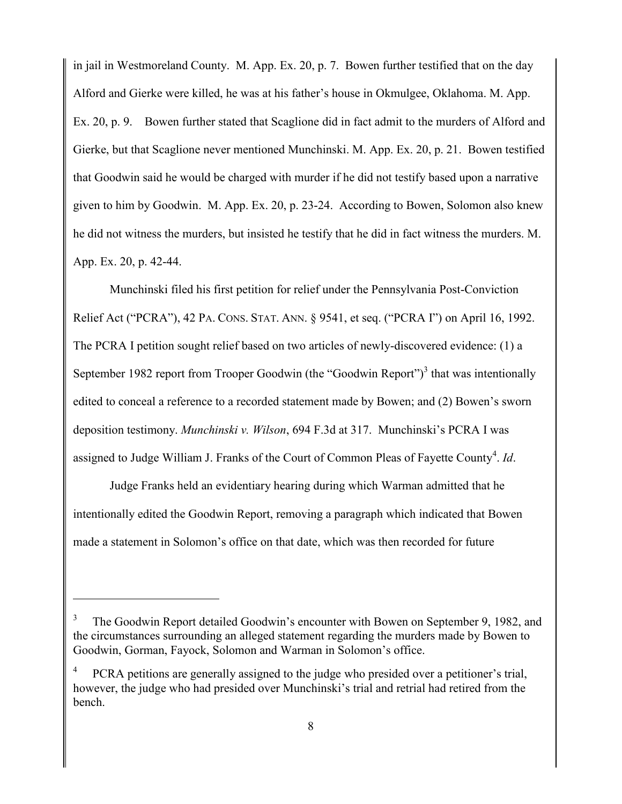in jail in Westmoreland County. M. App. Ex. 20, p. 7. Bowen further testified that on the day Alford and Gierke were killed, he was at his father's house in Okmulgee, Oklahoma. M. App. Ex. 20, p. 9. Bowen further stated that Scaglione did in fact admit to the murders of Alford and Gierke, but that Scaglione never mentioned Munchinski. M. App. Ex. 20, p. 21. Bowen testified that Goodwin said he would be charged with murder if he did not testify based upon a narrative given to him by Goodwin. M. App. Ex. 20, p. 23-24. According to Bowen, Solomon also knew he did not witness the murders, but insisted he testify that he did in fact witness the murders. M. App. Ex. 20, p. 42-44.

Munchinski filed his first petition for relief under the Pennsylvania Post-Conviction Relief Act ("PCRA"), 42 PA. CONS. STAT. ANN. § 9541, et seq. ("PCRA I") on April 16, 1992. The PCRA I petition sought relief based on two articles of newly-discovered evidence: (1) a September 1982 report from Trooper Goodwin (the "Goodwin Report")<sup>3</sup> that was intentionally edited to conceal a reference to a recorded statement made by Bowen; and (2) Bowen's sworn deposition testimony. *Munchinski v. Wilson*, 694 F.3d at 317. Munchinski's PCRA I was assigned to Judge William J. Franks of the Court of Common Pleas of Fayette County<sup>4</sup>. Id.

Judge Franks held an evidentiary hearing during which Warman admitted that he intentionally edited the Goodwin Report, removing a paragraph which indicated that Bowen made a statement in Solomon's office on that date, which was then recorded for future

<sup>3</sup> The Goodwin Report detailed Goodwin's encounter with Bowen on September 9, 1982, and the circumstances surrounding an alleged statement regarding the murders made by Bowen to Goodwin, Gorman, Fayock, Solomon and Warman in Solomon's office.

<sup>4</sup> PCRA petitions are generally assigned to the judge who presided over a petitioner's trial, however, the judge who had presided over Munchinski's trial and retrial had retired from the bench.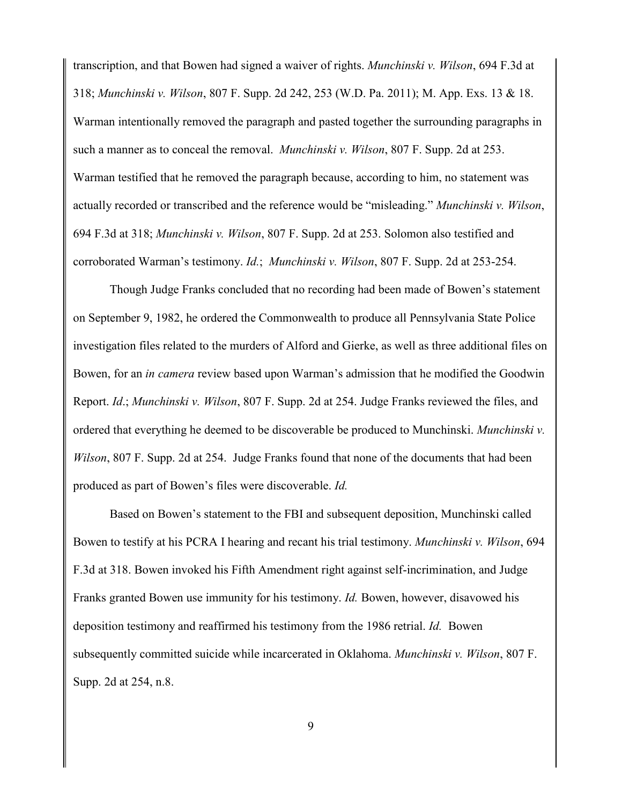transcription, and that Bowen had signed a waiver of rights. *Munchinski v. Wilson*, 694 F.3d at 318; *Munchinski v. Wilson*, 807 F. Supp. 2d 242, 253 (W.D. Pa. 2011); M. App. Exs. 13 & 18. Warman intentionally removed the paragraph and pasted together the surrounding paragraphs in such a manner as to conceal the removal. *Munchinski v. Wilson*, 807 F. Supp. 2d at 253. Warman testified that he removed the paragraph because, according to him, no statement was actually recorded or transcribed and the reference would be "misleading." *Munchinski v. Wilson*, 694 F.3d at 318; *Munchinski v. Wilson*, 807 F. Supp. 2d at 253. Solomon also testified and corroborated Warman's testimony. *Id.*; *Munchinski v. Wilson*, 807 F. Supp. 2d at 253-254.

Though Judge Franks concluded that no recording had been made of Bowen's statement on September 9, 1982, he ordered the Commonwealth to produce all Pennsylvania State Police investigation files related to the murders of Alford and Gierke, as well as three additional files on Bowen, for an *in camera* review based upon Warman's admission that he modified the Goodwin Report. *Id*.; *Munchinski v. Wilson*, 807 F. Supp. 2d at 254. Judge Franks reviewed the files, and ordered that everything he deemed to be discoverable be produced to Munchinski. *Munchinski v. Wilson*, 807 F. Supp. 2d at 254. Judge Franks found that none of the documents that had been produced as part of Bowen's files were discoverable. *Id.*

Based on Bowen's statement to the FBI and subsequent deposition, Munchinski called Bowen to testify at his PCRA I hearing and recant his trial testimony. *Munchinski v. Wilson*, 694 F.3d at 318. Bowen invoked his Fifth Amendment right against self-incrimination, and Judge Franks granted Bowen use immunity for his testimony. *Id.* Bowen, however, disavowed his deposition testimony and reaffirmed his testimony from the 1986 retrial. *Id.* Bowen subsequently committed suicide while incarcerated in Oklahoma. *Munchinski v. Wilson*, 807 F. Supp. 2d at 254, n.8.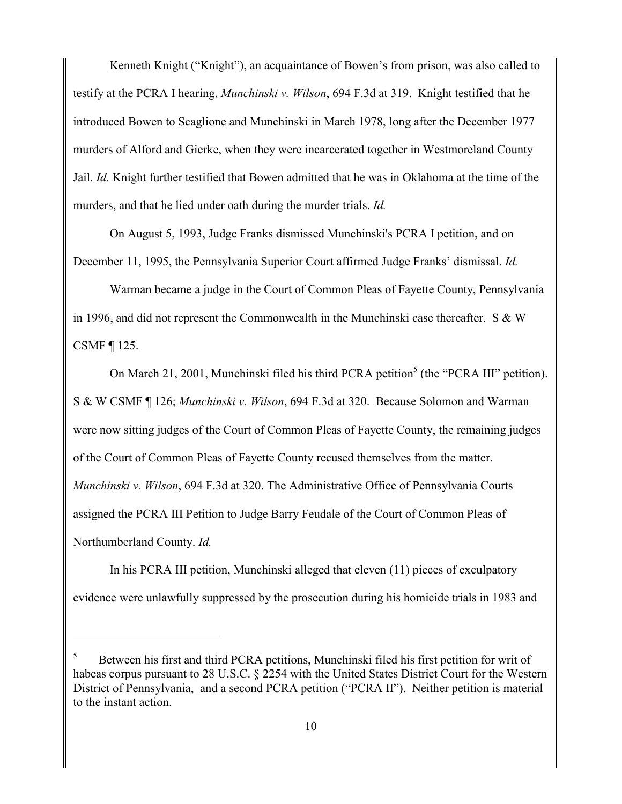Kenneth Knight ("Knight"), an acquaintance of Bowen's from prison, was also called to testify at the PCRA I hearing. *Munchinski v. Wilson*, 694 F.3d at 319. Knight testified that he introduced Bowen to Scaglione and Munchinski in March 1978, long after the December 1977 murders of Alford and Gierke, when they were incarcerated together in Westmoreland County Jail. *Id.* Knight further testified that Bowen admitted that he was in Oklahoma at the time of the murders, and that he lied under oath during the murder trials. *Id.*

On August 5, 1993, Judge Franks dismissed Munchinski's PCRA I petition, and on December 11, 1995, the Pennsylvania Superior Court affirmed Judge Franks' dismissal. *Id.*

Warman became a judge in the Court of Common Pleas of Fayette County, Pennsylvania in 1996, and did not represent the Commonwealth in the Munchinski case thereafter. S & W CSMF ¶ 125.

On March 21, 2001, Munchinski filed his third PCRA petition<sup>5</sup> (the "PCRA III" petition). S & W CSMF ¶ 126; *Munchinski v. Wilson*, 694 F.3d at 320. Because Solomon and Warman were now sitting judges of the Court of Common Pleas of Fayette County, the remaining judges of the Court of Common Pleas of Fayette County recused themselves from the matter. *Munchinski v. Wilson*, 694 F.3d at 320. The Administrative Office of Pennsylvania Courts assigned the PCRA III Petition to Judge Barry Feudale of the Court of Common Pleas of Northumberland County. *Id.*

In his PCRA III petition, Munchinski alleged that eleven (11) pieces of exculpatory evidence were unlawfully suppressed by the prosecution during his homicide trials in 1983 and

<sup>5</sup> Between his first and third PCRA petitions, Munchinski filed his first petition for writ of habeas corpus pursuant to 28 U.S.C. § 2254 with the United States District Court for the Western District of Pennsylvania, and a second PCRA petition ("PCRA II"). Neither petition is material to the instant action.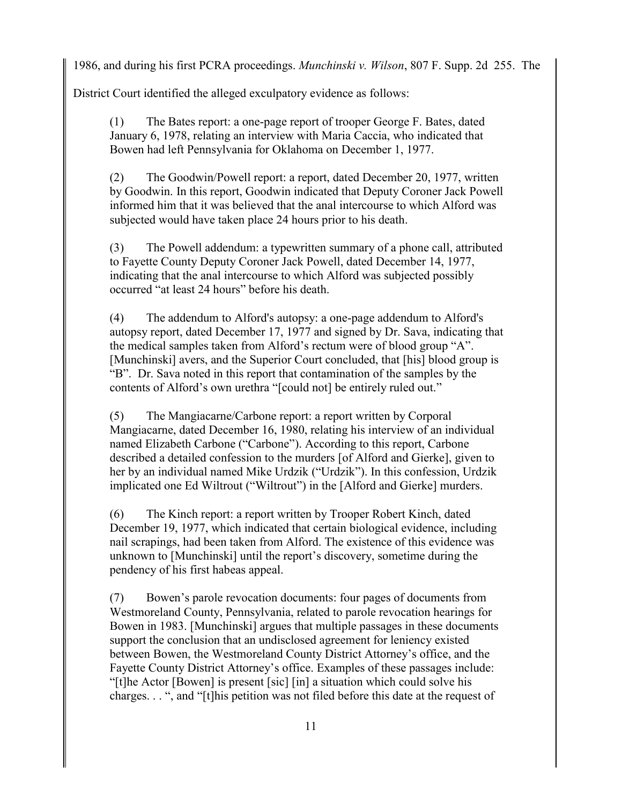1986, and during his first PCRA proceedings. *Munchinski v. Wilson*, 807 F. Supp. 2d 255. The

District Court identified the alleged exculpatory evidence as follows:

(1) The Bates report: a one-page report of trooper George F. Bates, dated January 6, 1978, relating an interview with Maria Caccia, who indicated that Bowen had left Pennsylvania for Oklahoma on December 1, 1977.

(2) The Goodwin/Powell report: a report, dated December 20, 1977, written by Goodwin. In this report, Goodwin indicated that Deputy Coroner Jack Powell informed him that it was believed that the anal intercourse to which Alford was subjected would have taken place 24 hours prior to his death.

(3) The Powell addendum: a typewritten summary of a phone call, attributed to Fayette County Deputy Coroner Jack Powell, dated December 14, 1977, indicating that the anal intercourse to which Alford was subjected possibly occurred "at least 24 hours" before his death.

(4) The addendum to Alford's autopsy: a one-page addendum to Alford's autopsy report, dated December 17, 1977 and signed by Dr. Sava, indicating that the medical samples taken from Alford's rectum were of blood group "A". [Munchinski] avers, and the Superior Court concluded, that [his] blood group is "B". Dr. Sava noted in this report that contamination of the samples by the contents of Alford's own urethra "[could not] be entirely ruled out."

(5) The Mangiacarne/Carbone report: a report written by Corporal Mangiacarne, dated December 16, 1980, relating his interview of an individual named Elizabeth Carbone ("Carbone"). According to this report, Carbone described a detailed confession to the murders [of Alford and Gierke], given to her by an individual named Mike Urdzik ("Urdzik"). In this confession, Urdzik implicated one Ed Wiltrout ("Wiltrout") in the [Alford and Gierke] murders.

(6) The Kinch report: a report written by Trooper Robert Kinch, dated December 19, 1977, which indicated that certain biological evidence, including nail scrapings, had been taken from Alford. The existence of this evidence was unknown to [Munchinski] until the report's discovery, sometime during the pendency of his first habeas appeal.

(7) Bowen's parole revocation documents: four pages of documents from Westmoreland County, Pennsylvania, related to parole revocation hearings for Bowen in 1983. [Munchinski] argues that multiple passages in these documents support the conclusion that an undisclosed agreement for leniency existed between Bowen, the Westmoreland County District Attorney's office, and the Fayette County District Attorney's office. Examples of these passages include: "[t]he Actor [Bowen] is present [sic] [in] a situation which could solve his charges. . . ", and "[t]his petition was not filed before this date at the request of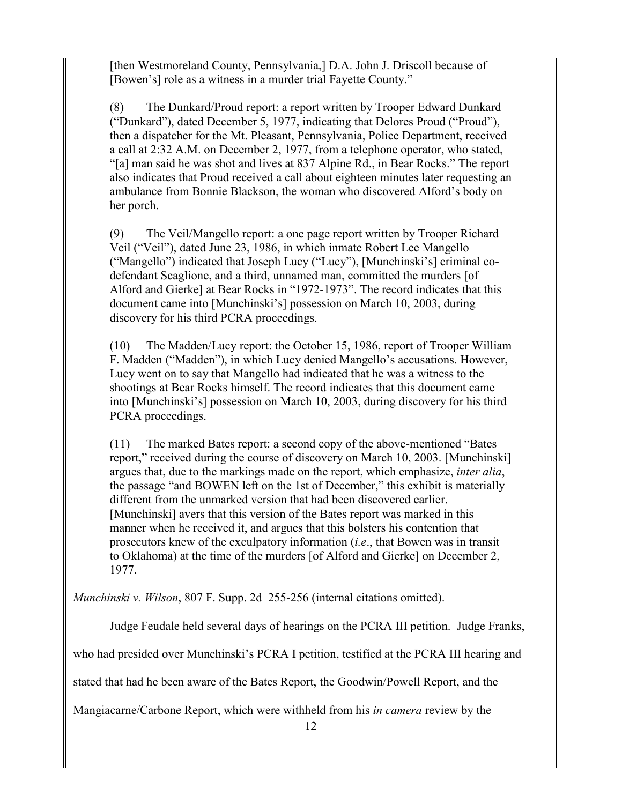[then Westmoreland County, Pennsylvania,] D.A. John J. Driscoll because of [Bowen's] role as a witness in a murder trial Fayette County."

(8) The Dunkard/Proud report: a report written by Trooper Edward Dunkard ("Dunkard"), dated December 5, 1977, indicating that Delores Proud ("Proud"), then a dispatcher for the Mt. Pleasant, Pennsylvania, Police Department, received a call at 2:32 A.M. on December 2, 1977, from a telephone operator, who stated, "[a] man said he was shot and lives at 837 Alpine Rd., in Bear Rocks." The report also indicates that Proud received a call about eighteen minutes later requesting an ambulance from Bonnie Blackson, the woman who discovered Alford's body on her porch.

(9) The Veil/Mangello report: a one page report written by Trooper Richard Veil ("Veil"), dated June 23, 1986, in which inmate Robert Lee Mangello ("Mangello") indicated that Joseph Lucy ("Lucy"), [Munchinski's] criminal codefendant Scaglione, and a third, unnamed man, committed the murders [of Alford and Gierke] at Bear Rocks in "1972-1973". The record indicates that this document came into [Munchinski's] possession on March 10, 2003, during discovery for his third PCRA proceedings.

(10) The Madden/Lucy report: the October 15, 1986, report of Trooper William F. Madden ("Madden"), in which Lucy denied Mangello's accusations. However, Lucy went on to say that Mangello had indicated that he was a witness to the shootings at Bear Rocks himself. The record indicates that this document came into [Munchinski's] possession on March 10, 2003, during discovery for his third PCRA proceedings.

(11) The marked Bates report: a second copy of the above-mentioned "Bates report," received during the course of discovery on March 10, 2003. [Munchinski] argues that, due to the markings made on the report, which emphasize, *inter alia*, the passage "and BOWEN left on the 1st of December," this exhibit is materially different from the unmarked version that had been discovered earlier. [Munchinski] avers that this version of the Bates report was marked in this manner when he received it, and argues that this bolsters his contention that prosecutors knew of the exculpatory information (*i.e*., that Bowen was in transit to Oklahoma) at the time of the murders [of Alford and Gierke] on December 2, 1977.

*Munchinski v. Wilson*, 807 F. Supp. 2d 255-256 (internal citations omitted).

Judge Feudale held several days of hearings on the PCRA III petition. Judge Franks,

who had presided over Munchinski's PCRA I petition, testified at the PCRA III hearing and

stated that had he been aware of the Bates Report, the Goodwin/Powell Report, and the

Mangiacarne/Carbone Report, which were withheld from his *in camera* review by the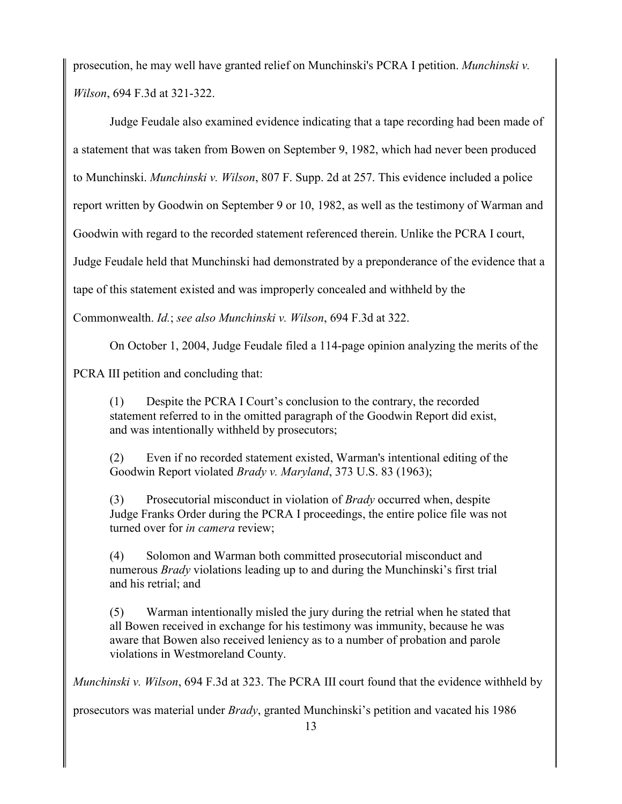prosecution, he may well have granted relief on Munchinski's PCRA I petition. *Munchinski v. Wilson*, 694 F.3d at 321-322.

Judge Feudale also examined evidence indicating that a tape recording had been made of a statement that was taken from Bowen on September 9, 1982, which had never been produced to Munchinski. *Munchinski v. Wilson*, 807 F. Supp. 2d at 257. This evidence included a police report written by Goodwin on September 9 or 10, 1982, as well as the testimony of Warman and Goodwin with regard to the recorded statement referenced therein. Unlike the PCRA I court, Judge Feudale held that Munchinski had demonstrated by a preponderance of the evidence that a tape of this statement existed and was improperly concealed and withheld by the Commonwealth. *Id.*; *see also Munchinski v. Wilson*, 694 F.3d at 322.

On October 1, 2004, Judge Feudale filed a 114-page opinion analyzing the merits of the

PCRA III petition and concluding that:

(1) Despite the PCRA I Court's conclusion to the contrary, the recorded statement referred to in the omitted paragraph of the Goodwin Report did exist, and was intentionally withheld by prosecutors;

(2) Even if no recorded statement existed, Warman's intentional editing of the Goodwin Report violated *Brady v. Maryland*, 373 U.S. 83 (1963);

(3) Prosecutorial misconduct in violation of *Brady* occurred when, despite Judge Franks Order during the PCRA I proceedings, the entire police file was not turned over for *in camera* review;

(4) Solomon and Warman both committed prosecutorial misconduct and numerous *Brady* violations leading up to and during the Munchinski's first trial and his retrial; and

(5) Warman intentionally misled the jury during the retrial when he stated that all Bowen received in exchange for his testimony was immunity, because he was aware that Bowen also received leniency as to a number of probation and parole violations in Westmoreland County.

*Munchinski v. Wilson*, 694 F.3d at 323. The PCRA III court found that the evidence withheld by

prosecutors was material under *Brady*, granted Munchinski's petition and vacated his 1986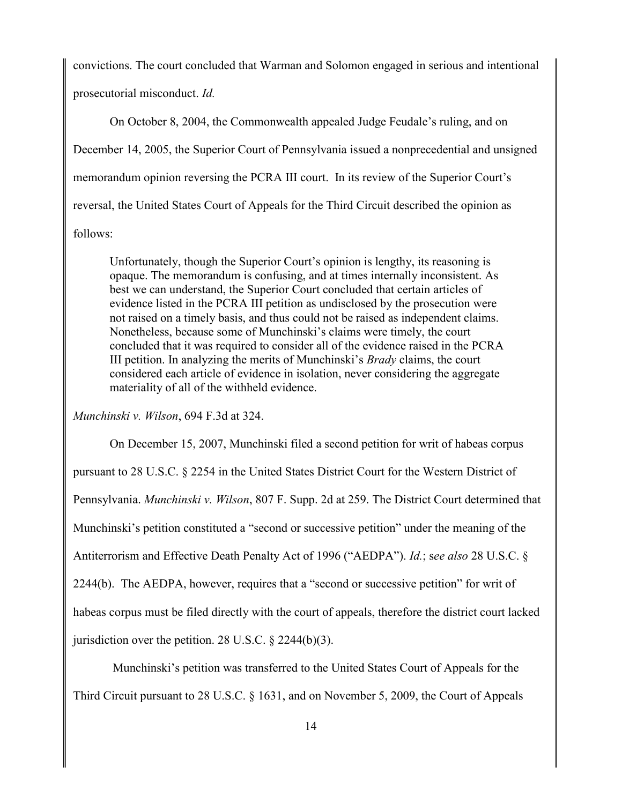convictions. The court concluded that Warman and Solomon engaged in serious and intentional prosecutorial misconduct. *Id.*

On October 8, 2004, the Commonwealth appealed Judge Feudale's ruling, and on December 14, 2005, the Superior Court of Pennsylvania issued a nonprecedential and unsigned memorandum opinion reversing the PCRA III court. In its review of the Superior Court's reversal, the United States Court of Appeals for the Third Circuit described the opinion as follows:

Unfortunately, though the Superior Court's opinion is lengthy, its reasoning is opaque. The memorandum is confusing, and at times internally inconsistent. As best we can understand, the Superior Court concluded that certain articles of evidence listed in the PCRA III petition as undisclosed by the prosecution were not raised on a timely basis, and thus could not be raised as independent claims. Nonetheless, because some of Munchinski's claims were timely, the court concluded that it was required to consider all of the evidence raised in the PCRA III petition. In analyzing the merits of Munchinski's *Brady* claims, the court considered each article of evidence in isolation, never considering the aggregate materiality of all of the withheld evidence.

*Munchinski v. Wilson*, 694 F.3d at 324.

On December 15, 2007, Munchinski filed a second petition for writ of habeas corpus pursuant to 28 U.S.C. § 2254 in the United States District Court for the Western District of Pennsylvania. *Munchinski v. Wilson*, 807 F. Supp. 2d at 259. The District Court determined that Munchinski's petition constituted a "second or successive petition" under the meaning of the Antiterrorism and Effective Death Penalty Act of 1996 ("AEDPA"). *Id.*; s*ee also* 28 U.S.C. § 2244(b). The AEDPA, however, requires that a "second or successive petition" for writ of habeas corpus must be filed directly with the court of appeals, therefore the district court lacked jurisdiction over the petition. 28 U.S.C.  $\S$  2244(b)(3).

Munchinski's petition was transferred to the United States Court of Appeals for the Third Circuit pursuant to 28 U.S.C. § 1631, and on November 5, 2009, the Court of Appeals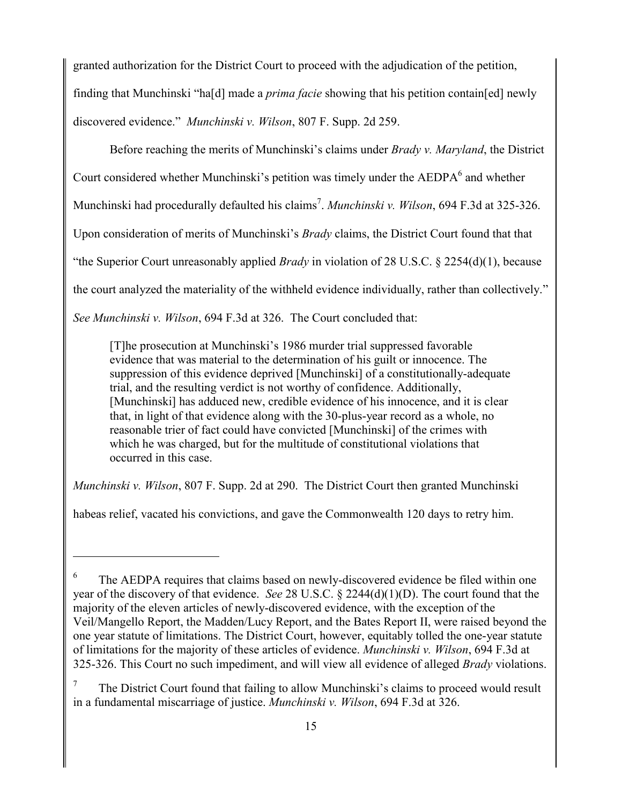granted authorization for the District Court to proceed with the adjudication of the petition, finding that Munchinski "ha[d] made a *prima facie* showing that his petition contain[ed] newly discovered evidence." *Munchinski v. Wilson*, 807 F. Supp. 2d 259.

Before reaching the merits of Munchinski's claims under *Brady v. Maryland*, the District Court considered whether Munchinski's petition was timely under the  $AEDPA<sup>6</sup>$  and whether Munchinski had procedurally defaulted his claims<sup>7</sup>. Munchinski v. Wilson, 694 F.3d at 325-326. Upon consideration of merits of Munchinski's *Brady* claims, the District Court found that that "the Superior Court unreasonably applied *Brady* in violation of 28 U.S.C. § 2254(d)(1), because the court analyzed the materiality of the withheld evidence individually, rather than collectively." *See Munchinski v. Wilson*, 694 F.3d at 326. The Court concluded that:

[T]he prosecution at Munchinski's 1986 murder trial suppressed favorable evidence that was material to the determination of his guilt or innocence. The suppression of this evidence deprived [Munchinski] of a constitutionally-adequate trial, and the resulting verdict is not worthy of confidence. Additionally, [Munchinski] has adduced new, credible evidence of his innocence, and it is clear that, in light of that evidence along with the 30-plus-year record as a whole, no reasonable trier of fact could have convicted [Munchinski] of the crimes with which he was charged, but for the multitude of constitutional violations that occurred in this case.

*Munchinski v. Wilson*, 807 F. Supp. 2d at 290. The District Court then granted Munchinski

habeas relief, vacated his convictions, and gave the Commonwealth 120 days to retry him.

<sup>6</sup> The AEDPA requires that claims based on newly-discovered evidence be filed within one year of the discovery of that evidence. *See* 28 U.S.C. § 2244(d)(1)(D). The court found that the majority of the eleven articles of newly-discovered evidence, with the exception of the Veil/Mangello Report, the Madden/Lucy Report, and the Bates Report II, were raised beyond the one year statute of limitations. The District Court, however, equitably tolled the one-year statute of limitations for the majority of these articles of evidence. *Munchinski v. Wilson*, 694 F.3d at 325-326. This Court no such impediment, and will view all evidence of alleged *Brady* violations.

<sup>7</sup> The District Court found that failing to allow Munchinski's claims to proceed would result in a fundamental miscarriage of justice. *Munchinski v. Wilson*, 694 F.3d at 326.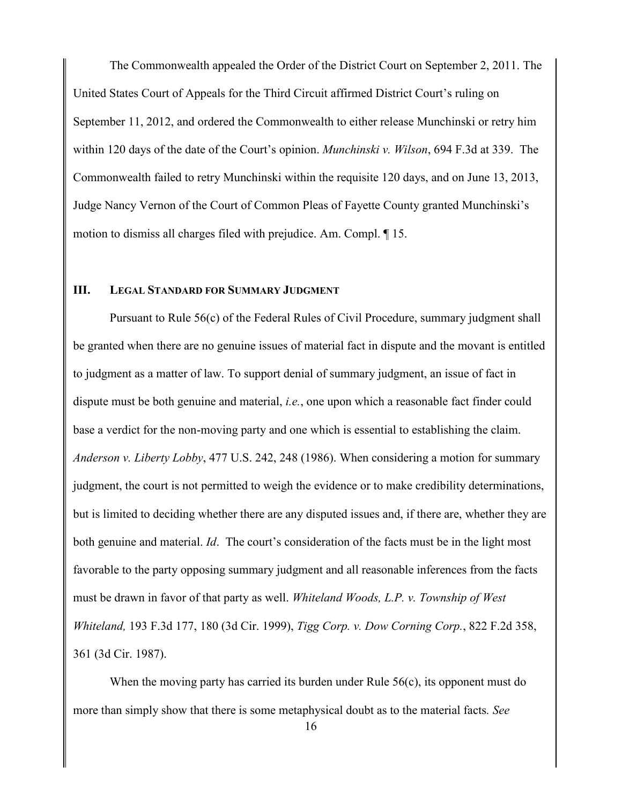The Commonwealth appealed the Order of the District Court on September 2, 2011. The United States Court of Appeals for the Third Circuit affirmed District Court's ruling on September 11, 2012, and ordered the Commonwealth to either release Munchinski or retry him within 120 days of the date of the Court's opinion. *Munchinski v. Wilson*, 694 F.3d at 339. The Commonwealth failed to retry Munchinski within the requisite 120 days, and on June 13, 2013, Judge Nancy Vernon of the Court of Common Pleas of Fayette County granted Munchinski's motion to dismiss all charges filed with prejudice. Am. Compl. ¶ 15.

### **III. LEGAL STANDARD FOR SUMMARY JUDGMENT**

Pursuant to Rule 56(c) of the Federal Rules of Civil Procedure, summary judgment shall be granted when there are no genuine issues of material fact in dispute and the movant is entitled to judgment as a matter of law. To support denial of summary judgment, an issue of fact in dispute must be both genuine and material, *i.e.*, one upon which a reasonable fact finder could base a verdict for the non-moving party and one which is essential to establishing the claim. *Anderson v. Liberty Lobby*, 477 U.S. 242, 248 (1986). When considering a motion for summary judgment, the court is not permitted to weigh the evidence or to make credibility determinations, but is limited to deciding whether there are any disputed issues and, if there are, whether they are both genuine and material. *Id*. The court's consideration of the facts must be in the light most favorable to the party opposing summary judgment and all reasonable inferences from the facts must be drawn in favor of that party as well. *Whiteland Woods, L.P. v. Township of West Whiteland,* 193 F.3d 177, 180 (3d Cir. 1999), *Tigg Corp. v. Dow Corning Corp.*, 822 F.2d 358, 361 (3d Cir. 1987).

When the moving party has carried its burden under Rule  $56(c)$ , its opponent must do more than simply show that there is some metaphysical doubt as to the material facts*. See*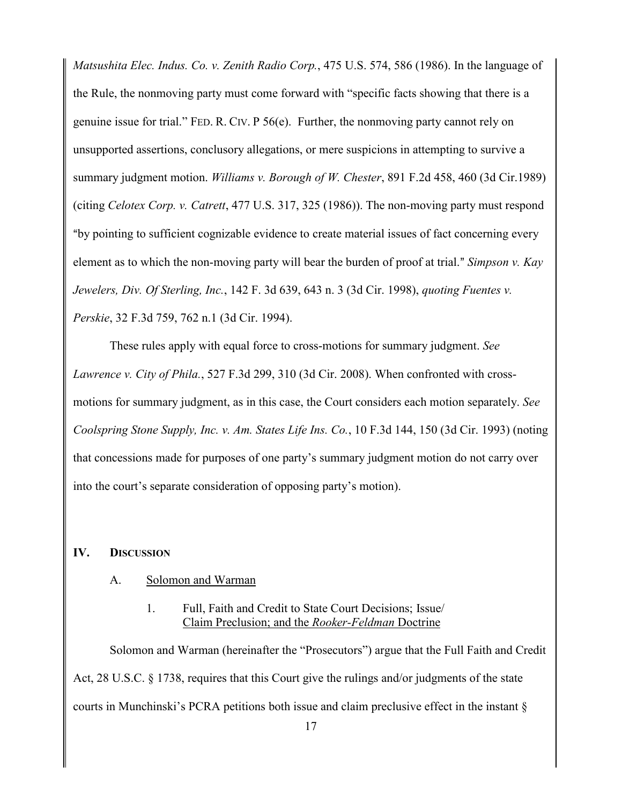*Matsushita Elec. Indus. Co. v. Zenith Radio Corp.*, 475 U.S. 574, 586 (1986). In the language of the Rule, the nonmoving party must come forward with "specific facts showing that there is a genuine issue for trial." FED. R. CIV. P  $56(e)$ . Further, the nonmoving party cannot rely on unsupported assertions, conclusory allegations, or mere suspicions in attempting to survive a summary judgment motion. *Williams v. Borough of W. Chester*, 891 F.2d 458, 460 (3d Cir.1989) (citing *Celotex Corp. v. Catrett*, 477 U.S. 317, 325 (1986)). The non-moving party must respond "by pointing to sufficient cognizable evidence to create material issues of fact concerning every element as to which the non-moving party will bear the burden of proof at trial." *Simpson v. Kay Jewelers, Div. Of Sterling, Inc.*, 142 F. 3d 639, 643 n. 3 (3d Cir. 1998), *quoting Fuentes v. Perskie*, 32 F.3d 759, 762 n.1 (3d Cir. 1994).

These rules apply with equal force to cross-motions for summary judgment. *See Lawrence v. City of Phila.*, 527 F.3d 299, 310 (3d Cir. 2008). When confronted with crossmotions for summary judgment, as in this case, the Court considers each motion separately. *See Coolspring Stone Supply, Inc. v. Am. States Life Ins. Co.*, 10 F.3d 144, 150 (3d Cir. 1993) (noting that concessions made for purposes of one party's summary judgment motion do not carry over into the court's separate consideration of opposing party's motion).

# **IV. DISCUSSION**

### A. Solomon and Warman

# 1. Full, Faith and Credit to State Court Decisions; Issue/ Claim Preclusion; and the *Rooker-Feldman* Doctrine

Solomon and Warman (hereinafter the "Prosecutors") argue that the Full Faith and Credit Act, 28 U.S.C. § 1738, requires that this Court give the rulings and/or judgments of the state courts in Munchinski's PCRA petitions both issue and claim preclusive effect in the instant §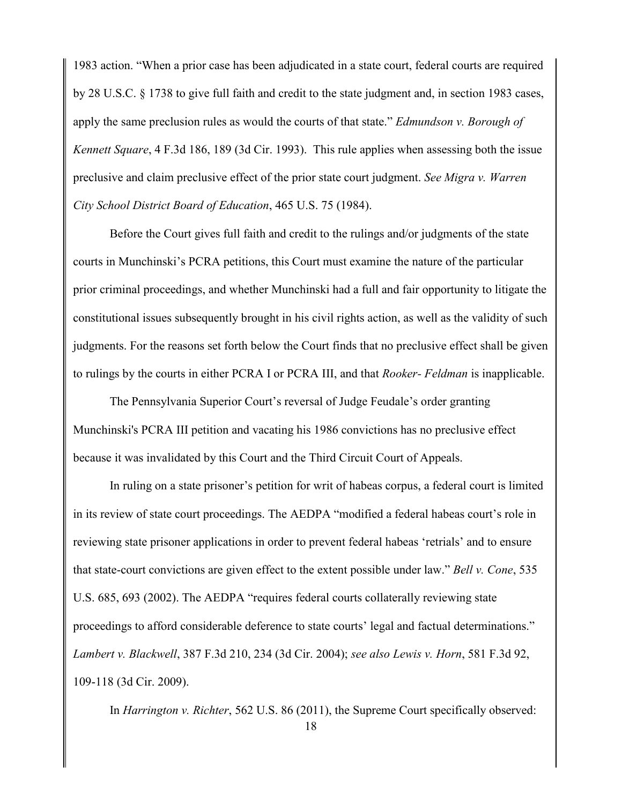1983 action. "When a prior case has been adjudicated in a state court, federal courts are required by 28 U.S.C. § 1738 to give full faith and credit to the state judgment and, in section 1983 cases, apply the same preclusion rules as would the courts of that state." *Edmundson v. Borough of Kennett Square*, 4 F.3d 186, 189 (3d Cir. 1993). This rule applies when assessing both the issue preclusive and claim preclusive effect of the prior state court judgment. *See Migra v. Warren City School District Board of Education*, 465 U.S. 75 (1984).

Before the Court gives full faith and credit to the rulings and/or judgments of the state courts in Munchinski's PCRA petitions, this Court must examine the nature of the particular prior criminal proceedings, and whether Munchinski had a full and fair opportunity to litigate the constitutional issues subsequently brought in his civil rights action, as well as the validity of such judgments. For the reasons set forth below the Court finds that no preclusive effect shall be given to rulings by the courts in either PCRA I or PCRA III, and that *Rooker- Feldman* is inapplicable.

The Pennsylvania Superior Court's reversal of Judge Feudale's order granting Munchinski's PCRA III petition and vacating his 1986 convictions has no preclusive effect because it was invalidated by this Court and the Third Circuit Court of Appeals.

In ruling on a state prisoner's petition for writ of habeas corpus, a federal court is limited in its review of state court proceedings. The AEDPA "modified a federal habeas court's role in reviewing state prisoner applications in order to prevent federal habeas 'retrials' and to ensure that state-court convictions are given effect to the extent possible under law." *Bell v. Cone*, 535 U.S. 685, 693 (2002). The AEDPA "requires federal courts collaterally reviewing state proceedings to afford considerable deference to state courts' legal and factual determinations." *Lambert v. Blackwell*, 387 F.3d 210, 234 (3d Cir. 2004); *see also Lewis v. Horn*, 581 F.3d 92, 109-118 (3d Cir. 2009).

In *Harrington v. Richter*, 562 U.S. 86 (2011), the Supreme Court specifically observed: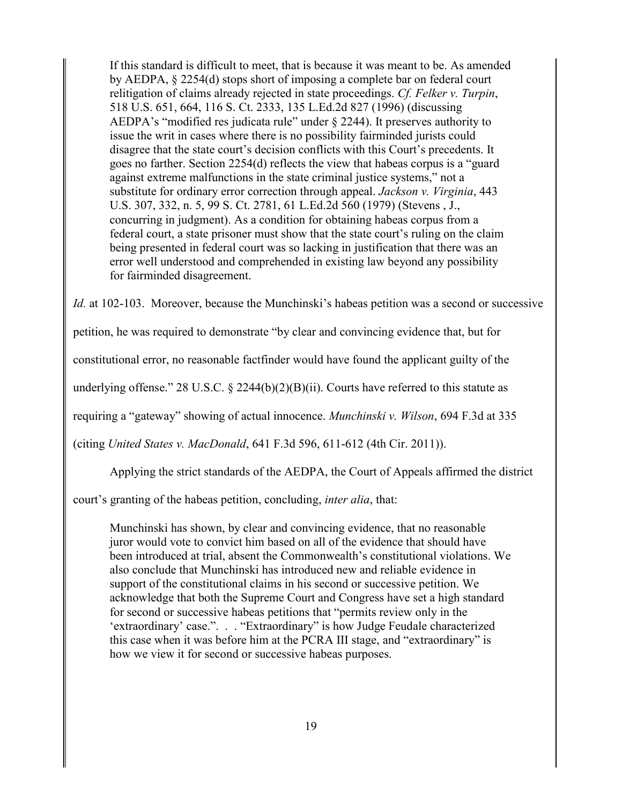If this standard is difficult to meet, that is because it was meant to be. As amended by AEDPA, § 2254(d) stops short of imposing a complete bar on federal court relitigation of claims already rejected in state proceedings. *Cf. Felker v. Turpin*, 518 U.S. 651, 664, 116 S. Ct. 2333, 135 L.Ed.2d 827 (1996) (discussing AEDPA's "modified res judicata rule" under  $\S$  2244). It preserves authority to issue the writ in cases where there is no possibility fairminded jurists could disagree that the state court's decision conflicts with this Court's precedents. It goes no farther. Section 2254(d) reflects the view that habeas corpus is a "guard against extreme malfunctions in the state criminal justice systems," not a substitute for ordinary error correction through appeal. *Jackson v. Virginia*, 443 U.S. 307, 332, n. 5, 99 S. Ct. 2781, 61 L.Ed.2d 560 (1979) (Stevens , J., concurring in judgment). As a condition for obtaining habeas corpus from a federal court, a state prisoner must show that the state court's ruling on the claim being presented in federal court was so lacking in justification that there was an error well understood and comprehended in existing law beyond any possibility for fairminded disagreement.

*Id.* at 102-103. Moreover, because the Munchinski's habeas petition was a second or successive

petition, he was required to demonstrate "by clear and convincing evidence that, but for

constitutional error, no reasonable factfinder would have found the applicant guilty of the

underlying offense." 28 U.S.C.  $\S$  2244(b)(2)(B)(ii). Courts have referred to this statute as

requiring a "gateway" showing of actual innocence. *Munchinski v. Wilson*, 694 F.3d at 335

(citing *United States v. MacDonald*, 641 F.3d 596, 611-612 (4th Cir. 2011)).

Applying the strict standards of the AEDPA, the Court of Appeals affirmed the district

court's granting of the habeas petition, concluding, *inter alia*, that:

Munchinski has shown, by clear and convincing evidence, that no reasonable juror would vote to convict him based on all of the evidence that should have been introduced at trial, absent the Commonwealth's constitutional violations. We also conclude that Munchinski has introduced new and reliable evidence in support of the constitutional claims in his second or successive petition. We acknowledge that both the Supreme Court and Congress have set a high standard for second or successive habeas petitions that "permits review only in the 'extraordinary' case.". . . "Extraordinary" is how Judge Feudale characterized this case when it was before him at the PCRA III stage, and "extraordinary" is how we view it for second or successive habeas purposes.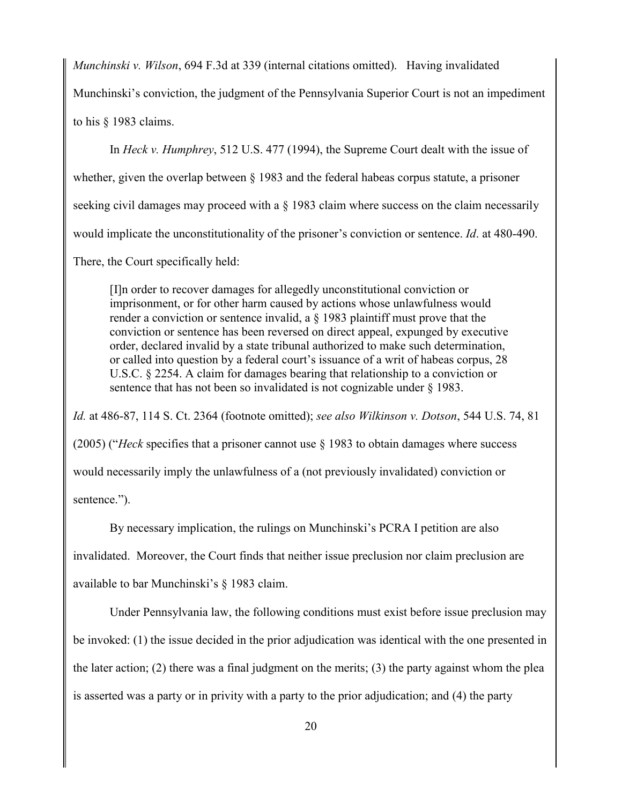*Munchinski v. Wilson*, 694 F.3d at 339 (internal citations omitted). Having invalidated

Munchinski's conviction, the judgment of the Pennsylvania Superior Court is not an impediment

to his § 1983 claims.

In *Heck v. Humphrey*, 512 U.S. 477 (1994), the Supreme Court dealt with the issue of whether, given the overlap between § 1983 and the federal habeas corpus statute, a prisoner seeking civil damages may proceed with a § 1983 claim where success on the claim necessarily would implicate the unconstitutionality of the prisoner's conviction or sentence. *Id*. at 480-490. There, the Court specifically held:

[I]n order to recover damages for allegedly unconstitutional conviction or imprisonment, or for other harm caused by actions whose unlawfulness would render a conviction or sentence invalid, a § 1983 plaintiff must prove that the conviction or sentence has been reversed on direct appeal, expunged by executive order, declared invalid by a state tribunal authorized to make such determination, or called into question by a federal court's issuance of a writ of habeas corpus, 28 U.S.C. § 2254. A claim for damages bearing that relationship to a conviction or sentence that has not been so invalidated is not cognizable under  $\S$  1983.

*Id.* at 486-87, 114 S. Ct. 2364 (footnote omitted); *see also Wilkinson v. Dotson*, 544 U.S. 74, 81 (2005) ("*Heck* specifies that a prisoner cannot use § 1983 to obtain damages where success would necessarily imply the unlawfulness of a (not previously invalidated) conviction or sentence.").

By necessary implication, the rulings on Munchinski's PCRA I petition are also invalidated. Moreover, the Court finds that neither issue preclusion nor claim preclusion are available to bar Munchinski's § 1983 claim.

Under Pennsylvania law, the following conditions must exist before issue preclusion may be invoked: (1) the issue decided in the prior adjudication was identical with the one presented in the later action; (2) there was a final judgment on the merits; (3) the party against whom the plea is asserted was a party or in privity with a party to the prior adjudication; and (4) the party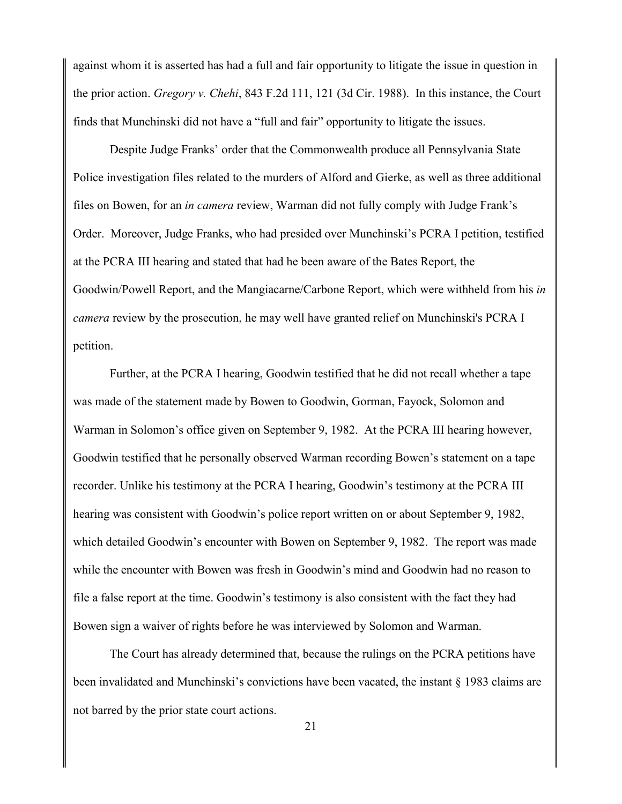against whom it is asserted has had a full and fair opportunity to litigate the issue in question in the prior action. *Gregory v. Chehi*, 843 F.2d 111, 121 (3d Cir. 1988). In this instance, the Court finds that Munchinski did not have a "full and fair" opportunity to litigate the issues.

Despite Judge Franks' order that the Commonwealth produce all Pennsylvania State Police investigation files related to the murders of Alford and Gierke, as well as three additional files on Bowen, for an *in camera* review, Warman did not fully comply with Judge Frank's Order. Moreover, Judge Franks, who had presided over Munchinski's PCRA I petition, testified at the PCRA III hearing and stated that had he been aware of the Bates Report, the Goodwin/Powell Report, and the Mangiacarne/Carbone Report, which were withheld from his *in camera* review by the prosecution, he may well have granted relief on Munchinski's PCRA I petition.

Further, at the PCRA I hearing, Goodwin testified that he did not recall whether a tape was made of the statement made by Bowen to Goodwin, Gorman, Fayock, Solomon and Warman in Solomon's office given on September 9, 1982. At the PCRA III hearing however, Goodwin testified that he personally observed Warman recording Bowen's statement on a tape recorder. Unlike his testimony at the PCRA I hearing, Goodwin's testimony at the PCRA III hearing was consistent with Goodwin's police report written on or about September 9, 1982, which detailed Goodwin's encounter with Bowen on September 9, 1982. The report was made while the encounter with Bowen was fresh in Goodwin's mind and Goodwin had no reason to file a false report at the time. Goodwin's testimony is also consistent with the fact they had Bowen sign a waiver of rights before he was interviewed by Solomon and Warman.

The Court has already determined that, because the rulings on the PCRA petitions have been invalidated and Munchinski's convictions have been vacated, the instant § 1983 claims are not barred by the prior state court actions.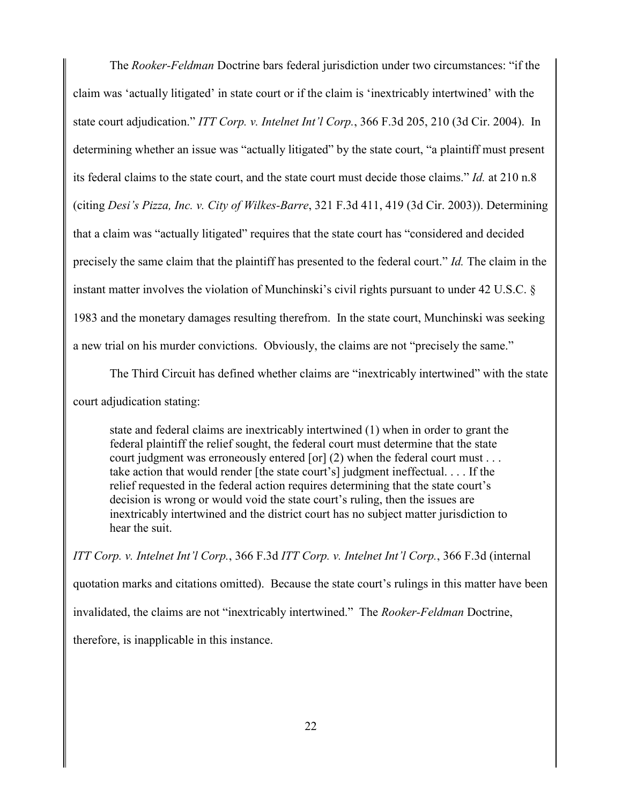The *Rooker-Feldman* Doctrine bars federal jurisdiction under two circumstances: "if the claim was 'actually litigated' in state court or if the claim is 'inextricably intertwined' with the state court adjudication." *ITT Corp. v. Intelnet Int'l Corp.*, 366 F.3d 205, 210 (3d Cir. 2004). In determining whether an issue was "actually litigated" by the state court, "a plaintiff must present its federal claims to the state court, and the state court must decide those claims." *Id.* at 210 n.8 (citing *Desi's Pizza, Inc. v. City of Wilkes-Barre*, 321 F.3d 411, 419 (3d Cir. 2003)). Determining that a claim was "actually litigated" requires that the state court has "considered and decided precisely the same claim that the plaintiff has presented to the federal court." *Id.* The claim in the instant matter involves the violation of Munchinski's civil rights pursuant to under 42 U.S.C. § 1983 and the monetary damages resulting therefrom. In the state court, Munchinski was seeking a new trial on his murder convictions. Obviously, the claims are not "precisely the same."

The Third Circuit has defined whether claims are "inextricably intertwined" with the state court adjudication stating:

state and federal claims are inextricably intertwined (1) when in order to grant the federal plaintiff the relief sought, the federal court must determine that the state court judgment was erroneously entered [or] (2) when the federal court must . . . take action that would render [the state court's] judgment ineffectual. . . . If the relief requested in the federal action requires determining that the state court's decision is wrong or would void the state court's ruling, then the issues are inextricably intertwined and the district court has no subject matter jurisdiction to hear the suit.

*ITT Corp. v. Intelnet Int'l Corp.*, 366 F.3d *ITT Corp. v. Intelnet Int'l Corp.*, 366 F.3d (internal quotation marks and citations omitted). Because the state court's rulings in this matter have been invalidated, the claims are not "inextricably intertwined." The *Rooker-Feldman* Doctrine, therefore, is inapplicable in this instance.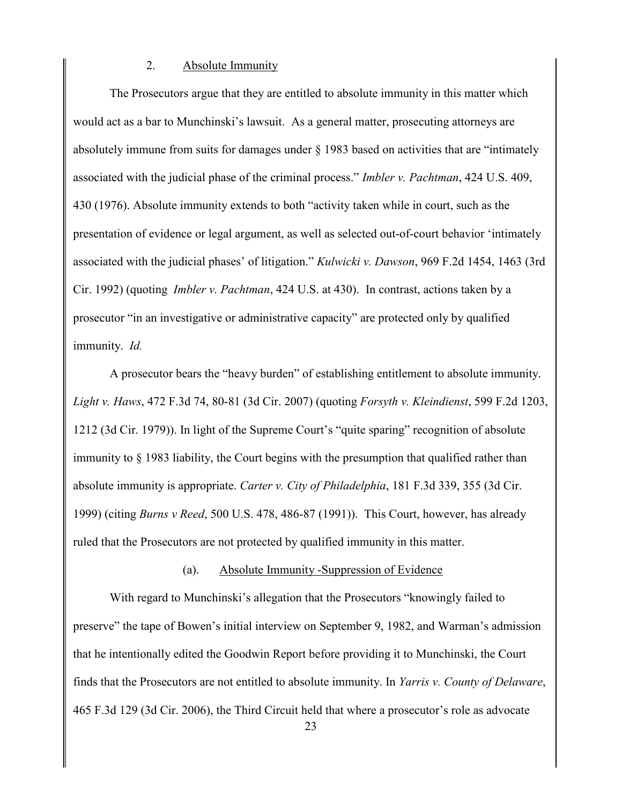#### 2. Absolute Immunity

The Prosecutors argue that they are entitled to absolute immunity in this matter which would act as a bar to Munchinski's lawsuit. As a general matter, prosecuting attorneys are absolutely immune from suits for damages under § 1983 based on activities that are "intimately associated with the judicial phase of the criminal process." *Imbler v. Pachtman*, 424 U.S. 409, 430 (1976). Absolute immunity extends to both "activity taken while in court, such as the presentation of evidence or legal argument, as well as selected out-of-court behavior 'intimately associated with the judicial phases' of litigation." *Kulwicki v. Dawson*, 969 F.2d 1454, 1463 (3rd Cir. 1992) (quoting *Imbler v. Pachtman*, 424 U.S. at 430). In contrast, actions taken by a prosecutor "in an investigative or administrative capacity" are protected only by qualified immunity. *Id.*

A prosecutor bears the "heavy burden" of establishing entitlement to absolute immunity. *Light v. Haws*, 472 F.3d 74, 80-81 (3d Cir. 2007) (quoting *Forsyth v. Kleindienst*, 599 F.2d 1203, 1212 (3d Cir. 1979)). In light of the Supreme Court's "quite sparing" recognition of absolute immunity to § 1983 liability, the Court begins with the presumption that qualified rather than absolute immunity is appropriate. *Carter v. City of Philadelphia*, 181 F.3d 339, 355 (3d Cir. 1999) (citing *Burns v Reed*, 500 U.S. 478, 486-87 (1991)). This Court, however, has already ruled that the Prosecutors are not protected by qualified immunity in this matter.

# (a). Absolute Immunity -Suppression of Evidence

With regard to Munchinski's allegation that the Prosecutors "knowingly failed to preserve" the tape of Bowen's initial interview on September 9, 1982, and Warman's admission that he intentionally edited the Goodwin Report before providing it to Munchinski, the Court finds that the Prosecutors are not entitled to absolute immunity. In *Yarris v. County of Delaware*, 465 F.3d 129 (3d Cir. 2006), the Third Circuit held that where a prosecutor's role as advocate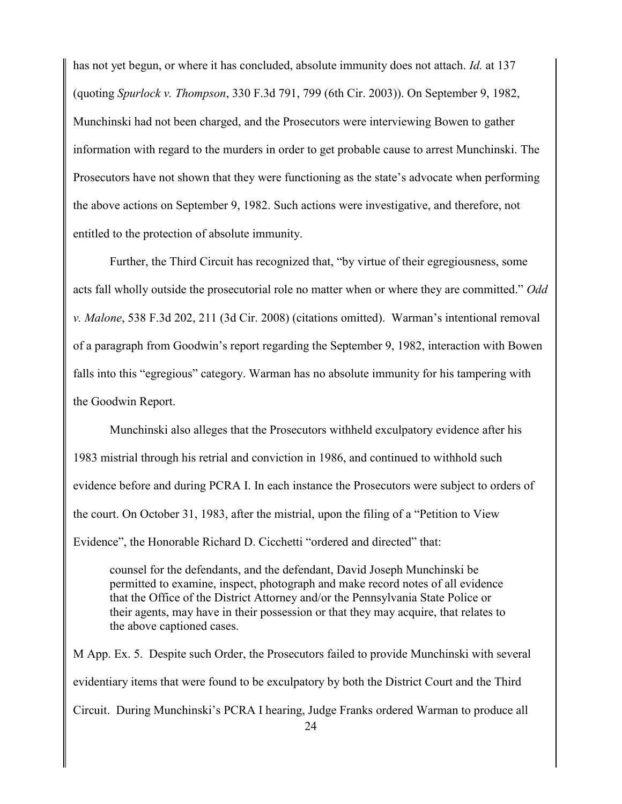has not yet begun, or where it has concluded, absolute immunity does not attach. *Id.* at 137 (quoting *Spurlock v. Thompson*, 330 F.3d 791, 799 (6th Cir. 2003)). On September 9, 1982, Munchinski had not been charged, and the Prosecutors were interviewing Bowen to gather information with regard to the murders in order to get probable cause to arrest Munchinski. The Prosecutors have not shown that they were functioning as the state's advocate when performing the above actions on September 9, 1982. Such actions were investigative, and therefore, not entitled to the protection of absolute immunity.

Further, the Third Circuit has recognized that, "by virtue of their egregiousness, some acts fall wholly outside the prosecutorial role no matter when or where they are committed." *Odd v. Malone*, 538 F.3d 202, 211 (3d Cir. 2008) (citations omitted). Warman's intentional removal of a paragraph from Goodwin's report regarding the September 9, 1982, interaction with Bowen falls into this "egregious" category. Warman has no absolute immunity for his tampering with the Goodwin Report.

Munchinski also alleges that the Prosecutors withheld exculpatory evidence after his 1983 mistrial through his retrial and conviction in 1986, and continued to withhold such evidence before and during PCRA I. In each instance the Prosecutors were subject to orders of the court. On October 31, 1983, after the mistrial, upon the filing of a "Petition to View Evidence", the Honorable Richard D. Cicchetti "ordered and directed" that:

counsel for the defendants, and the defendant, David Joseph Munchinski be permitted to examine, inspect, photograph and make record notes of all evidence that the Office of the District Attorney and/or the Pennsylvania State Police or their agents, may have in their possession or that they may acquire, that relates to the above captioned cases.

M App. Ex. 5. Despite such Order, the Prosecutors failed to provide Munchinski with several evidentiary items that were found to be exculpatory by both the District Court and the Third Circuit. During Munchinski's PCRA I hearing, Judge Franks ordered Warman to produce all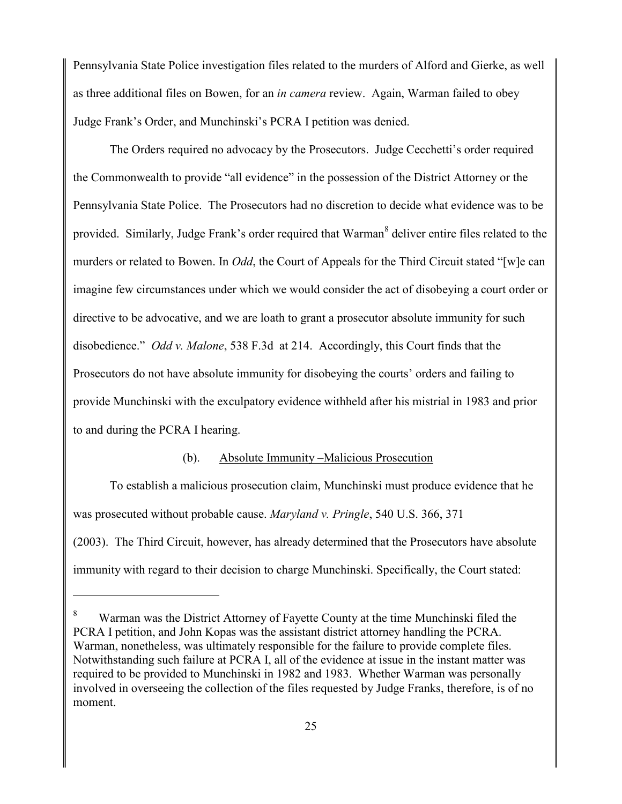Pennsylvania State Police investigation files related to the murders of Alford and Gierke, as well as three additional files on Bowen, for an *in camera* review. Again, Warman failed to obey Judge Frank's Order, and Munchinski's PCRA I petition was denied.

The Orders required no advocacy by the Prosecutors. Judge Cecchetti's order required the Commonwealth to provide "all evidence" in the possession of the District Attorney or the Pennsylvania State Police. The Prosecutors had no discretion to decide what evidence was to be provided. Similarly, Judge Frank's order required that Warman<sup>8</sup> deliver entire files related to the murders or related to Bowen. In *Odd*, the Court of Appeals for the Third Circuit stated "[w]e can imagine few circumstances under which we would consider the act of disobeying a court order or directive to be advocative, and we are loath to grant a prosecutor absolute immunity for such disobedience." *Odd v. Malone*, 538 F.3d at 214. Accordingly, this Court finds that the Prosecutors do not have absolute immunity for disobeying the courts' orders and failing to provide Munchinski with the exculpatory evidence withheld after his mistrial in 1983 and prior to and during the PCRA I hearing.

# (b). Absolute Immunity –Malicious Prosecution

To establish a malicious prosecution claim, Munchinski must produce evidence that he was prosecuted without probable cause. *Maryland v. Pringle*, 540 U.S. 366, 371 (2003). The Third Circuit, however, has already determined that the Prosecutors have absolute immunity with regard to their decision to charge Munchinski. Specifically, the Court stated:

<sup>8</sup> Warman was the District Attorney of Fayette County at the time Munchinski filed the PCRA I petition, and John Kopas was the assistant district attorney handling the PCRA. Warman, nonetheless, was ultimately responsible for the failure to provide complete files. Notwithstanding such failure at PCRA I, all of the evidence at issue in the instant matter was required to be provided to Munchinski in 1982 and 1983. Whether Warman was personally involved in overseeing the collection of the files requested by Judge Franks, therefore, is of no moment.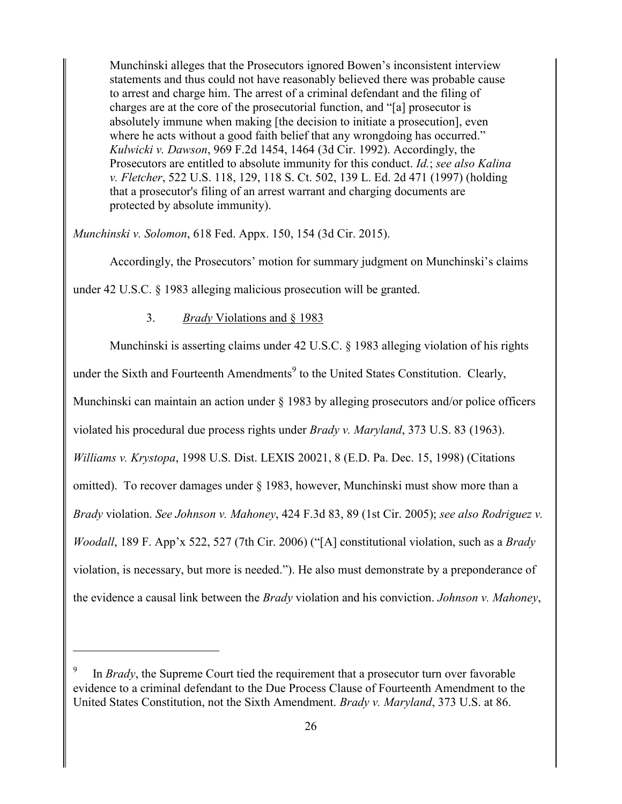Munchinski alleges that the Prosecutors ignored Bowen's inconsistent interview statements and thus could not have reasonably believed there was probable cause to arrest and charge him. The arrest of a criminal defendant and the filing of charges are at the core of the prosecutorial function, and "[a] prosecutor is absolutely immune when making [the decision to initiate a prosecution], even where he acts without a good faith belief that any wrongdoing has occurred." *Kulwicki v. Dawson*, 969 F.2d 1454, 1464 (3d Cir. 1992). Accordingly, the Prosecutors are entitled to absolute immunity for this conduct. *Id.*; *see also Kalina v. Fletcher*, 522 U.S. 118, 129, 118 S. Ct. 502, 139 L. Ed. 2d 471 (1997) (holding that a prosecutor's filing of an arrest warrant and charging documents are protected by absolute immunity).

*Munchinski v. Solomon*, 618 Fed. Appx. 150, 154 (3d Cir. 2015).

Accordingly, the Prosecutors' motion for summary judgment on Munchinski's claims

under 42 U.S.C. § 1983 alleging malicious prosecution will be granted.

# 3. *Brady* Violations and § 1983

 $\overline{a}$ 

Munchinski is asserting claims under 42 U.S.C. § 1983 alleging violation of his rights under the Sixth and Fourteenth Amendments<sup>9</sup> to the United States Constitution. Clearly, Munchinski can maintain an action under § 1983 by alleging prosecutors and/or police officers violated his procedural due process rights under *Brady v. Maryland*, 373 U.S. 83 (1963). *Williams v. Krystopa*, 1998 U.S. Dist. LEXIS 20021, 8 (E.D. Pa. Dec. 15, 1998) (Citations omitted). To recover damages under § 1983, however, Munchinski must show more than a *Brady* violation. *See Johnson v. Mahoney*, 424 F.3d 83, 89 (1st Cir. 2005); *see also Rodriguez v. Woodall*, 189 F. App'x 522, 527 (7th Cir. 2006) ("[A] constitutional violation, such as a *Brady* violation, is necessary, but more is needed."). He also must demonstrate by a preponderance of the evidence a causal link between the *Brady* violation and his conviction. *Johnson v. Mahoney*,

<sup>9</sup> In *Brady*, the Supreme Court tied the requirement that a prosecutor turn over favorable evidence to a criminal defendant to the Due Process Clause of Fourteenth Amendment to the United States Constitution, not the Sixth Amendment. *Brady v. Maryland*, 373 U.S. at 86.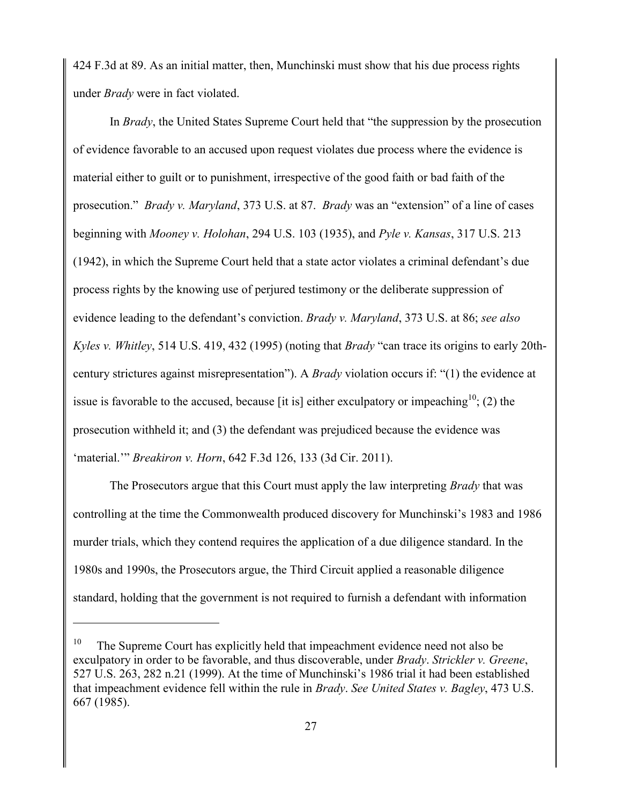424 F.3d at 89. As an initial matter, then, Munchinski must show that his due process rights under *Brady* were in fact violated.

In *Brady*, the United States Supreme Court held that "the suppression by the prosecution of evidence favorable to an accused upon request violates due process where the evidence is material either to guilt or to punishment, irrespective of the good faith or bad faith of the prosecution." *Brady v. Maryland*, 373 U.S. at 87. *Brady* was an "extension" of a line of cases beginning with *Mooney v. Holohan*, 294 U.S. 103 (1935), and *Pyle v. Kansas*, 317 U.S. 213 (1942), in which the Supreme Court held that a state actor violates a criminal defendant's due process rights by the knowing use of perjured testimony or the deliberate suppression of evidence leading to the defendant's conviction. *Brady v. Maryland*, 373 U.S. at 86; *see also Kyles v. Whitley*, 514 U.S. 419, 432 (1995) (noting that *Brady* "can trace its origins to early 20thcentury strictures against misrepresentation"). A *Brady* violation occurs if: "(1) the evidence at issue is favorable to the accused, because [it is] either exculpatory or impeaching<sup>10</sup>; (2) the prosecution withheld it; and (3) the defendant was prejudiced because the evidence was 'material.'" *Breakiron v. Horn*, 642 F.3d 126, 133 (3d Cir. 2011).

The Prosecutors argue that this Court must apply the law interpreting *Brady* that was controlling at the time the Commonwealth produced discovery for Munchinski's 1983 and 1986 murder trials, which they contend requires the application of a due diligence standard. In the 1980s and 1990s, the Prosecutors argue, the Third Circuit applied a reasonable diligence standard, holding that the government is not required to furnish a defendant with information

<sup>10</sup> The Supreme Court has explicitly held that impeachment evidence need not also be exculpatory in order to be favorable, and thus discoverable, under *Brady*. *Strickler v. Greene*, 527 U.S. 263, 282 n.21 (1999). At the time of Munchinski's 1986 trial it had been established that impeachment evidence fell within the rule in *Brady*. *See United States v. Bagley*, 473 U.S. 667 (1985).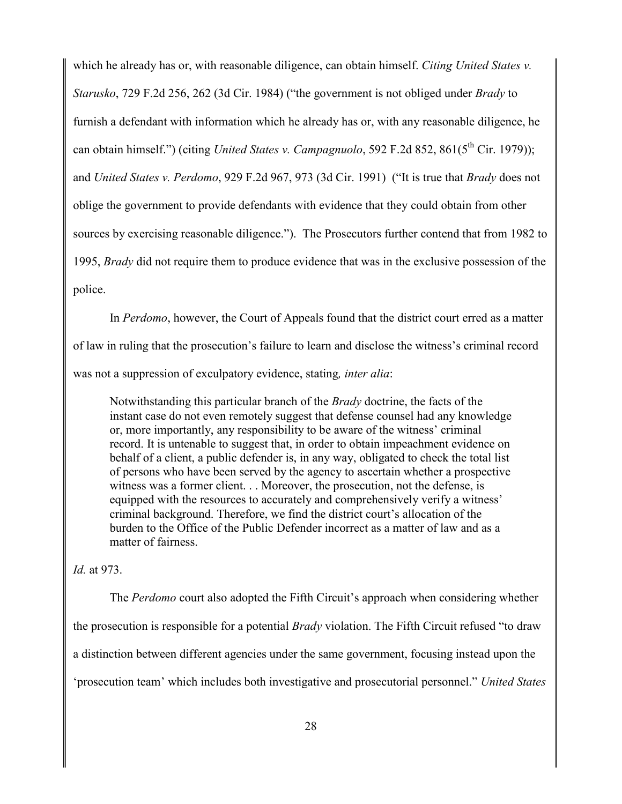which he already has or, with reasonable diligence, can obtain himself. *Citing United States v. Starusko*, 729 F.2d 256, 262 (3d Cir. 1984) ("the government is not obliged under *Brady* to furnish a defendant with information which he already has or, with any reasonable diligence, he can obtain himself.") (citing *United States v. Campagnuolo*, 592 F.2d 852, 861(5<sup>th</sup> Cir. 1979)); and *United States v. Perdomo*, 929 F.2d 967, 973 (3d Cir. 1991) ("It is true that *Brady* does not oblige the government to provide defendants with evidence that they could obtain from other sources by exercising reasonable diligence."). The Prosecutors further contend that from 1982 to 1995, *Brady* did not require them to produce evidence that was in the exclusive possession of the police.

In *Perdomo*, however, the Court of Appeals found that the district court erred as a matter of law in ruling that the prosecution's failure to learn and disclose the witness's criminal record was not a suppression of exculpatory evidence, stating*, inter alia*:

Notwithstanding this particular branch of the *Brady* doctrine, the facts of the instant case do not even remotely suggest that defense counsel had any knowledge or, more importantly, any responsibility to be aware of the witness' criminal record. It is untenable to suggest that, in order to obtain impeachment evidence on behalf of a client, a public defender is, in any way, obligated to check the total list of persons who have been served by the agency to ascertain whether a prospective witness was a former client. . . Moreover, the prosecution, not the defense, is equipped with the resources to accurately and comprehensively verify a witness' criminal background. Therefore, we find the district court's allocation of the burden to the Office of the Public Defender incorrect as a matter of law and as a matter of fairness.

*Id.* at 973.

The *Perdomo* court also adopted the Fifth Circuit's approach when considering whether the prosecution is responsible for a potential *Brady* violation. The Fifth Circuit refused "to draw a distinction between different agencies under the same government, focusing instead upon the 'prosecution team' which includes both investigative and prosecutorial personnel." *United States*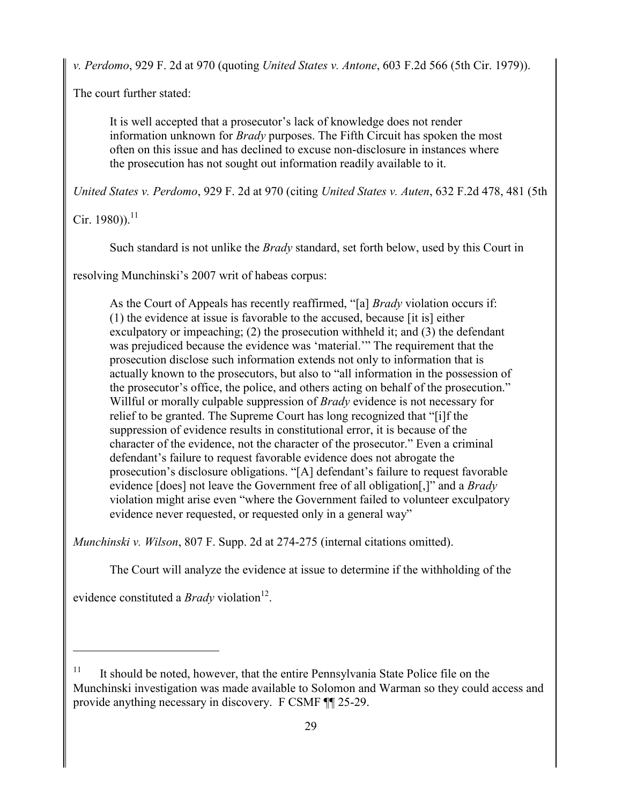*v. Perdomo*, 929 F. 2d at 970 (quoting *United States v. Antone*, 603 F.2d 566 (5th Cir. 1979)).

The court further stated:

It is well accepted that a prosecutor's lack of knowledge does not render information unknown for *Brady* purposes. The Fifth Circuit has spoken the most often on this issue and has declined to excuse non-disclosure in instances where the prosecution has not sought out information readily available to it.

*United States v. Perdomo*, 929 F. 2d at 970 (citing *United States v. Auten*, 632 F.2d 478, 481 (5th

 $Cir. 1980$ ) $^{11}$ 

Such standard is not unlike the *Brady* standard, set forth below, used by this Court in

resolving Munchinski's 2007 writ of habeas corpus:

As the Court of Appeals has recently reaffirmed, "[a] *Brady* violation occurs if: (1) the evidence at issue is favorable to the accused, because [it is] either exculpatory or impeaching; (2) the prosecution withheld it; and (3) the defendant was prejudiced because the evidence was 'material.'" The requirement that the prosecution disclose such information extends not only to information that is actually known to the prosecutors, but also to "all information in the possession of the prosecutor's office, the police, and others acting on behalf of the prosecution." Willful or morally culpable suppression of *Brady* evidence is not necessary for relief to be granted. The Supreme Court has long recognized that "[i]f the suppression of evidence results in constitutional error, it is because of the character of the evidence, not the character of the prosecutor." Even a criminal defendant's failure to request favorable evidence does not abrogate the prosecution's disclosure obligations. "[A] defendant's failure to request favorable evidence [does] not leave the Government free of all obligation[,]" and a *Brady*  violation might arise even "where the Government failed to volunteer exculpatory evidence never requested, or requested only in a general way"

*Munchinski v. Wilson*, 807 F. Supp. 2d at 274-275 (internal citations omitted).

The Court will analyze the evidence at issue to determine if the withholding of the

evidence constituted a *Brady* violation<sup>12</sup>.

<sup>11</sup> It should be noted, however, that the entire Pennsylvania State Police file on the Munchinski investigation was made available to Solomon and Warman so they could access and provide anything necessary in discovery. F CSMF ¶¶ 25-29.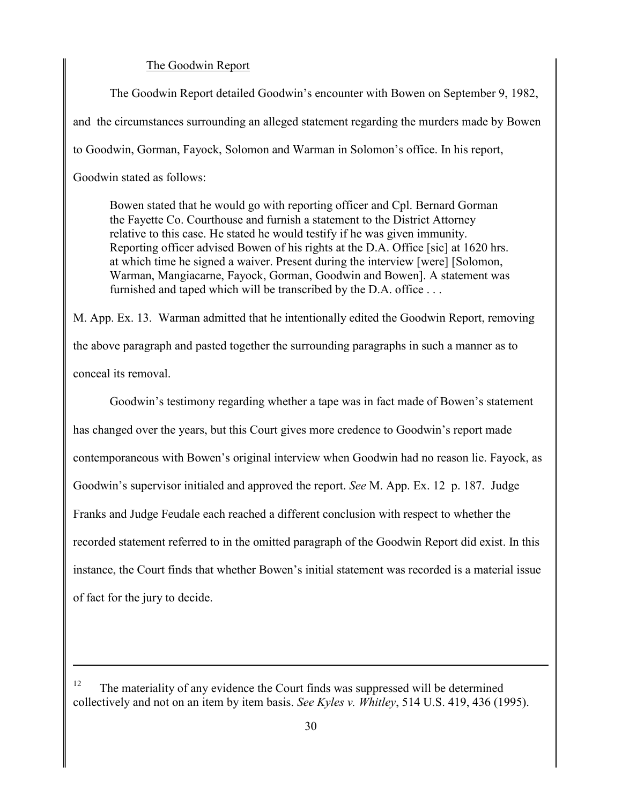## The Goodwin Report

The Goodwin Report detailed Goodwin's encounter with Bowen on September 9, 1982, and the circumstances surrounding an alleged statement regarding the murders made by Bowen to Goodwin, Gorman, Fayock, Solomon and Warman in Solomon's office. In his report, Goodwin stated as follows:

Bowen stated that he would go with reporting officer and Cpl. Bernard Gorman the Fayette Co. Courthouse and furnish a statement to the District Attorney relative to this case. He stated he would testify if he was given immunity. Reporting officer advised Bowen of his rights at the D.A. Office [sic] at 1620 hrs. at which time he signed a waiver. Present during the interview [were] [Solomon, Warman, Mangiacarne, Fayock, Gorman, Goodwin and Bowen]. A statement was furnished and taped which will be transcribed by the D.A. office . . .

M. App. Ex. 13. Warman admitted that he intentionally edited the Goodwin Report, removing the above paragraph and pasted together the surrounding paragraphs in such a manner as to conceal its removal.

Goodwin's testimony regarding whether a tape was in fact made of Bowen's statement has changed over the years, but this Court gives more credence to Goodwin's report made contemporaneous with Bowen's original interview when Goodwin had no reason lie. Fayock, as Goodwin's supervisor initialed and approved the report. *See* M. App. Ex. 12 p. 187. Judge Franks and Judge Feudale each reached a different conclusion with respect to whether the recorded statement referred to in the omitted paragraph of the Goodwin Report did exist. In this instance, the Court finds that whether Bowen's initial statement was recorded is a material issue of fact for the jury to decide.

<sup>12</sup> The materiality of any evidence the Court finds was suppressed will be determined collectively and not on an item by item basis. *See Kyles v. Whitley*, 514 U.S. 419, 436 (1995).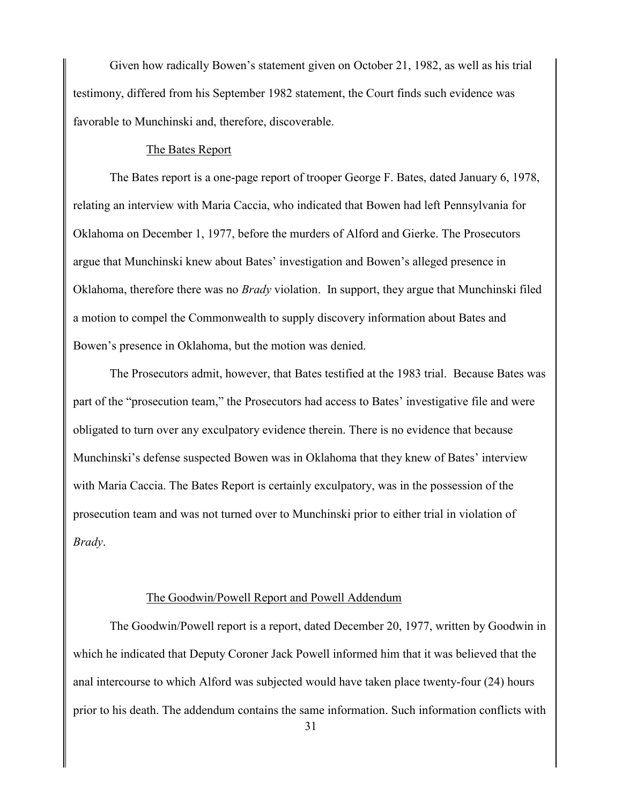Given how radically Bowen's statement given on October 21, 1982, as well as his trial testimony, differed from his September 1982 statement, the Court finds such evidence was favorable to Munchinski and, therefore, discoverable.

## The Bates Report

The Bates report is a one-page report of trooper George F. Bates, dated January 6, 1978, relating an interview with Maria Caccia, who indicated that Bowen had left Pennsylvania for Oklahoma on December 1, 1977, before the murders of Alford and Gierke. The Prosecutors argue that Munchinski knew about Bates' investigation and Bowen's alleged presence in Oklahoma, therefore there was no *Brady* violation. In support, they argue that Munchinski filed a motion to compel the Commonwealth to supply discovery information about Bates and Bowen's presence in Oklahoma, but the motion was denied.

The Prosecutors admit, however, that Bates testified at the 1983 trial. Because Bates was part of the "prosecution team," the Prosecutors had access to Bates' investigative file and were obligated to turn over any exculpatory evidence therein. There is no evidence that because Munchinski's defense suspected Bowen was in Oklahoma that they knew of Bates' interview with Maria Caccia. The Bates Report is certainly exculpatory, was in the possession of the prosecution team and was not turned over to Munchinski prior to either trial in violation of *Brady*.

## The Goodwin/Powell Report and Powell Addendum

The Goodwin/Powell report is a report, dated December 20, 1977, written by Goodwin in which he indicated that Deputy Coroner Jack Powell informed him that it was believed that the anal intercourse to which Alford was subjected would have taken place twenty-four (24) hours prior to his death. The addendum contains the same information. Such information conflicts with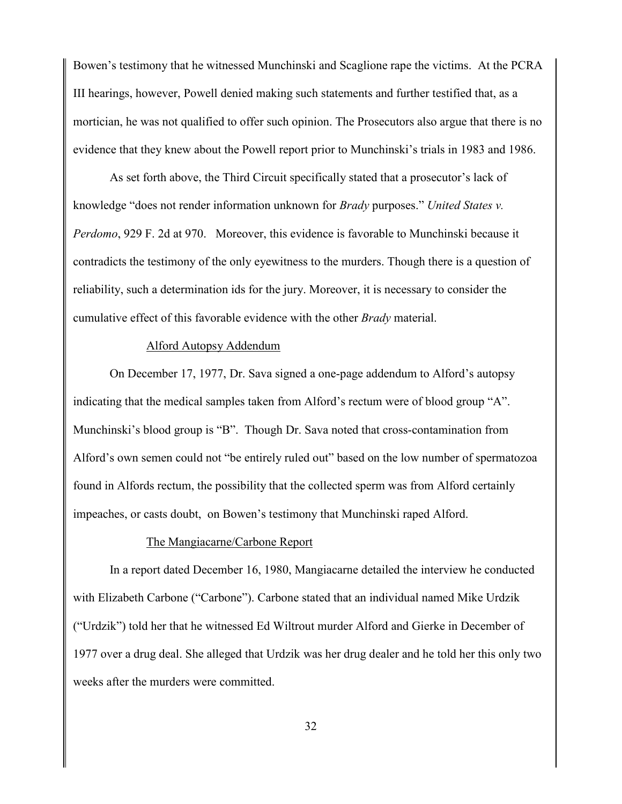Bowen's testimony that he witnessed Munchinski and Scaglione rape the victims. At the PCRA III hearings, however, Powell denied making such statements and further testified that, as a mortician, he was not qualified to offer such opinion. The Prosecutors also argue that there is no evidence that they knew about the Powell report prior to Munchinski's trials in 1983 and 1986.

As set forth above, the Third Circuit specifically stated that a prosecutor's lack of knowledge "does not render information unknown for *Brady* purposes." *United States v. Perdomo*, 929 F. 2d at 970. Moreover, this evidence is favorable to Munchinski because it contradicts the testimony of the only eyewitness to the murders. Though there is a question of reliability, such a determination ids for the jury. Moreover, it is necessary to consider the cumulative effect of this favorable evidence with the other *Brady* material.

### Alford Autopsy Addendum

On December 17, 1977, Dr. Sava signed a one-page addendum to Alford's autopsy indicating that the medical samples taken from Alford's rectum were of blood group "A". Munchinski's blood group is "B". Though Dr. Sava noted that cross-contamination from Alford's own semen could not "be entirely ruled out" based on the low number of spermatozoa found in Alfords rectum, the possibility that the collected sperm was from Alford certainly impeaches, or casts doubt, on Bowen's testimony that Munchinski raped Alford.

### The Mangiacarne/Carbone Report

In a report dated December 16, 1980, Mangiacarne detailed the interview he conducted with Elizabeth Carbone ("Carbone"). Carbone stated that an individual named Mike Urdzik ("Urdzik") told her that he witnessed Ed Wiltrout murder Alford and Gierke in December of 1977 over a drug deal. She alleged that Urdzik was her drug dealer and he told her this only two weeks after the murders were committed.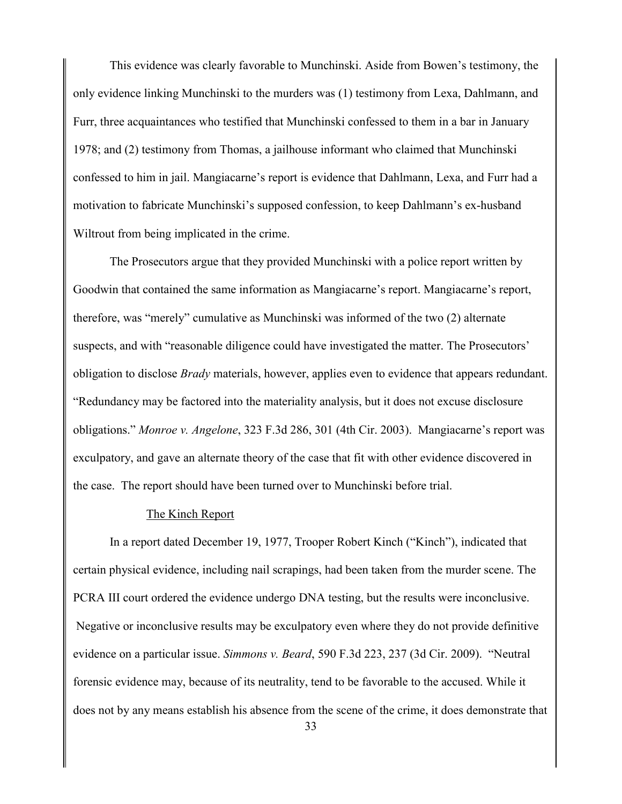This evidence was clearly favorable to Munchinski. Aside from Bowen's testimony, the only evidence linking Munchinski to the murders was (1) testimony from Lexa, Dahlmann, and Furr, three acquaintances who testified that Munchinski confessed to them in a bar in January 1978; and (2) testimony from Thomas, a jailhouse informant who claimed that Munchinski confessed to him in jail. Mangiacarne's report is evidence that Dahlmann, Lexa, and Furr had a motivation to fabricate Munchinski's supposed confession, to keep Dahlmann's ex-husband Wiltrout from being implicated in the crime.

The Prosecutors argue that they provided Munchinski with a police report written by Goodwin that contained the same information as Mangiacarne's report. Mangiacarne's report, therefore, was "merely" cumulative as Munchinski was informed of the two (2) alternate suspects, and with "reasonable diligence could have investigated the matter. The Prosecutors' obligation to disclose *Brady* materials, however, applies even to evidence that appears redundant. "Redundancy may be factored into the materiality analysis, but it does not excuse disclosure obligations." *Monroe v. Angelone*, 323 F.3d 286, 301 (4th Cir. 2003).Mangiacarne's report was exculpatory, and gave an alternate theory of the case that fit with other evidence discovered in the case. The report should have been turned over to Munchinski before trial.

## The Kinch Report

In a report dated December 19, 1977, Trooper Robert Kinch ("Kinch"), indicated that certain physical evidence, including nail scrapings, had been taken from the murder scene. The PCRA III court ordered the evidence undergo DNA testing, but the results were inconclusive. Negative or inconclusive results may be exculpatory even where they do not provide definitive evidence on a particular issue. *Simmons v. Beard*, 590 F.3d 223, 237 (3d Cir. 2009). "Neutral forensic evidence may, because of its neutrality, tend to be favorable to the accused. While it does not by any means establish his absence from the scene of the crime, it does demonstrate that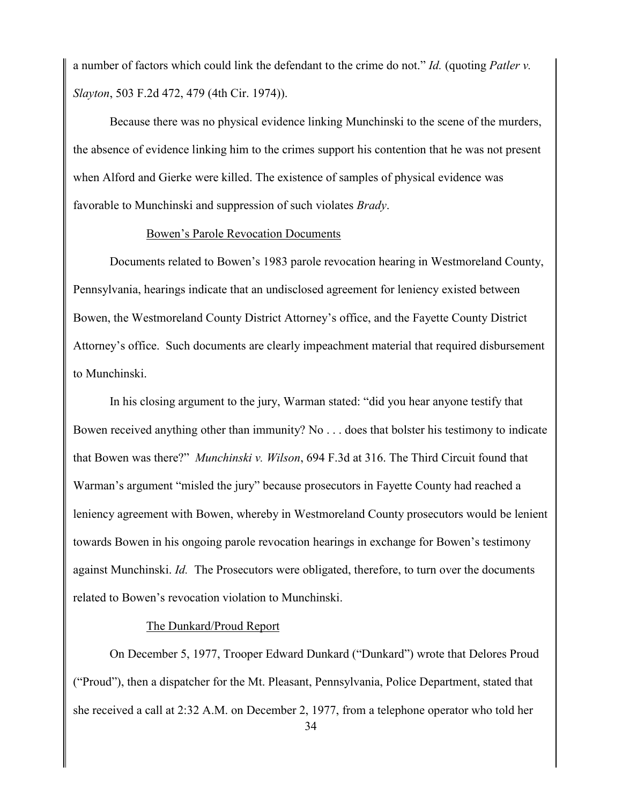a number of factors which could link the defendant to the crime do not." *Id.* (quoting *Patler v. Slayton*, 503 F.2d 472, 479 (4th Cir. 1974)).

Because there was no physical evidence linking Munchinski to the scene of the murders, the absence of evidence linking him to the crimes support his contention that he was not present when Alford and Gierke were killed. The existence of samples of physical evidence was favorable to Munchinski and suppression of such violates *Brady*.

#### Bowen's Parole Revocation Documents

Documents related to Bowen's 1983 parole revocation hearing in Westmoreland County, Pennsylvania, hearings indicate that an undisclosed agreement for leniency existed between Bowen, the Westmoreland County District Attorney's office, and the Fayette County District Attorney's office. Such documents are clearly impeachment material that required disbursement to Munchinski.

In his closing argument to the jury, Warman stated: "did you hear anyone testify that Bowen received anything other than immunity? No . . . does that bolster his testimony to indicate that Bowen was there?" *Munchinski v. Wilson*, 694 F.3d at 316. The Third Circuit found that Warman's argument "misled the jury" because prosecutors in Fayette County had reached a leniency agreement with Bowen, whereby in Westmoreland County prosecutors would be lenient towards Bowen in his ongoing parole revocation hearings in exchange for Bowen's testimony against Munchinski. *Id.* The Prosecutors were obligated, therefore, to turn over the documents related to Bowen's revocation violation to Munchinski.

### The Dunkard/Proud Report

On December 5, 1977, Trooper Edward Dunkard ("Dunkard") wrote that Delores Proud ("Proud"), then a dispatcher for the Mt. Pleasant, Pennsylvania, Police Department, stated that she received a call at 2:32 A.M. on December 2, 1977, from a telephone operator who told her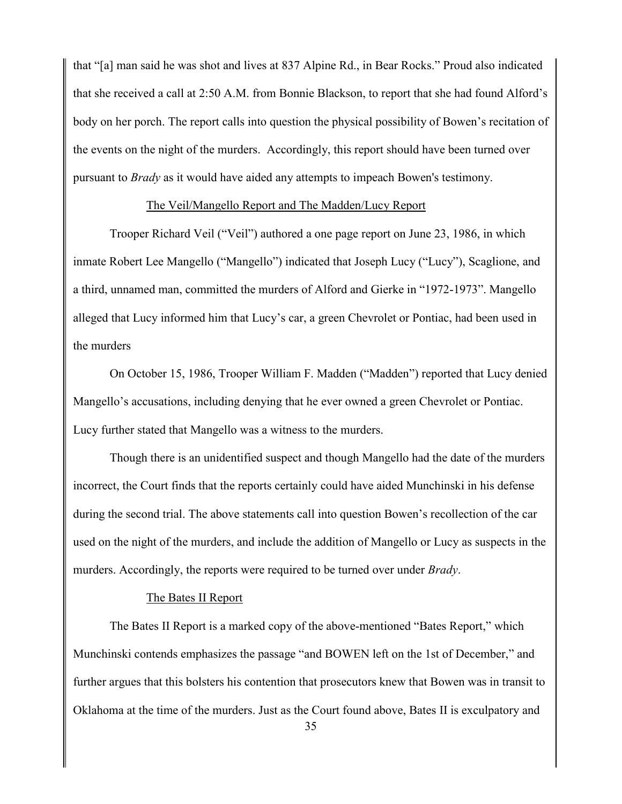that "[a] man said he was shot and lives at 837 Alpine Rd., in Bear Rocks." Proud also indicated that she received a call at 2:50 A.M. from Bonnie Blackson, to report that she had found Alford's body on her porch. The report calls into question the physical possibility of Bowen's recitation of the events on the night of the murders. Accordingly, this report should have been turned over pursuant to *Brady* as it would have aided any attempts to impeach Bowen's testimony.

#### The Veil/Mangello Report and The Madden/Lucy Report

Trooper Richard Veil ("Veil") authored a one page report on June 23, 1986, in which inmate Robert Lee Mangello ("Mangello") indicated that Joseph Lucy ("Lucy"), Scaglione, and a third, unnamed man, committed the murders of Alford and Gierke in "1972-1973". Mangello alleged that Lucy informed him that Lucy's car, a green Chevrolet or Pontiac, had been used in the murders

On October 15, 1986, Trooper William F. Madden ("Madden") reported that Lucy denied Mangello's accusations, including denying that he ever owned a green Chevrolet or Pontiac. Lucy further stated that Mangello was a witness to the murders.

Though there is an unidentified suspect and though Mangello had the date of the murders incorrect, the Court finds that the reports certainly could have aided Munchinski in his defense during the second trial. The above statements call into question Bowen's recollection of the car used on the night of the murders, and include the addition of Mangello or Lucy as suspects in the murders. Accordingly, the reports were required to be turned over under *Brady*.

## The Bates II Report

The Bates II Report is a marked copy of the above-mentioned "Bates Report," which Munchinski contends emphasizes the passage "and BOWEN left on the 1st of December," and further argues that this bolsters his contention that prosecutors knew that Bowen was in transit to Oklahoma at the time of the murders. Just as the Court found above, Bates II is exculpatory and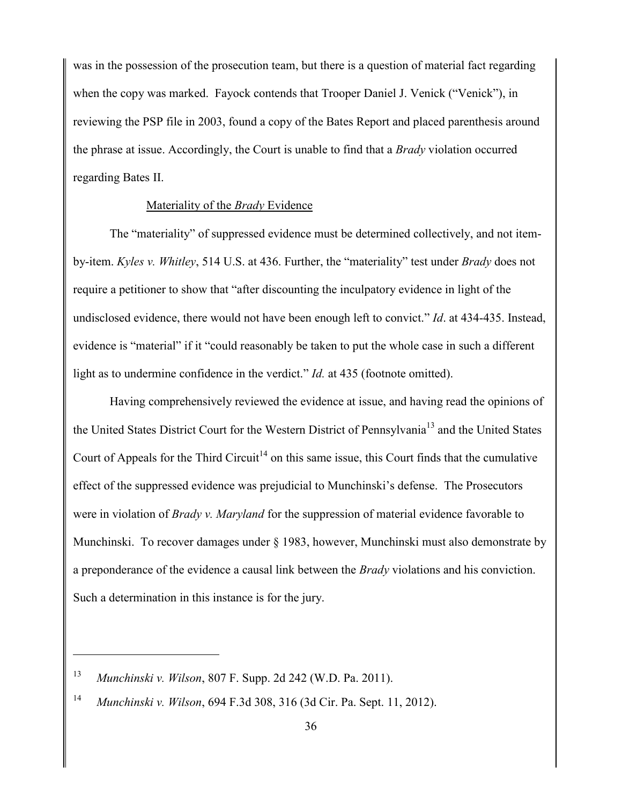was in the possession of the prosecution team, but there is a question of material fact regarding when the copy was marked. Fayock contends that Trooper Daniel J. Venick ("Venick"), in reviewing the PSP file in 2003, found a copy of the Bates Report and placed parenthesis around the phrase at issue. Accordingly, the Court is unable to find that a *Brady* violation occurred regarding Bates II.

### Materiality of the *Brady* Evidence

The "materiality" of suppressed evidence must be determined collectively, and not itemby-item. *Kyles v. Whitley*, 514 U.S. at 436. Further, the "materiality" test under *Brady* does not require a petitioner to show that "after discounting the inculpatory evidence in light of the undisclosed evidence, there would not have been enough left to convict." *Id*. at 434-435. Instead, evidence is "material" if it "could reasonably be taken to put the whole case in such a different light as to undermine confidence in the verdict." *Id.* at 435 (footnote omitted).

Having comprehensively reviewed the evidence at issue, and having read the opinions of the United States District Court for the Western District of Pennsylvania<sup>13</sup> and the United States Court of Appeals for the Third Circuit<sup>14</sup> on this same issue, this Court finds that the cumulative effect of the suppressed evidence was prejudicial to Munchinski's defense. The Prosecutors were in violation of *Brady v. Maryland* for the suppression of material evidence favorable to Munchinski. To recover damages under § 1983, however, Munchinski must also demonstrate by a preponderance of the evidence a causal link between the *Brady* violations and his conviction. Such a determination in this instance is for the jury.

<sup>13</sup> *Munchinski v. Wilson*, 807 F. Supp. 2d 242 (W.D. Pa. 2011).

<sup>14</sup> *Munchinski v. Wilson*, 694 F.3d 308, 316 (3d Cir. Pa. Sept. 11, 2012).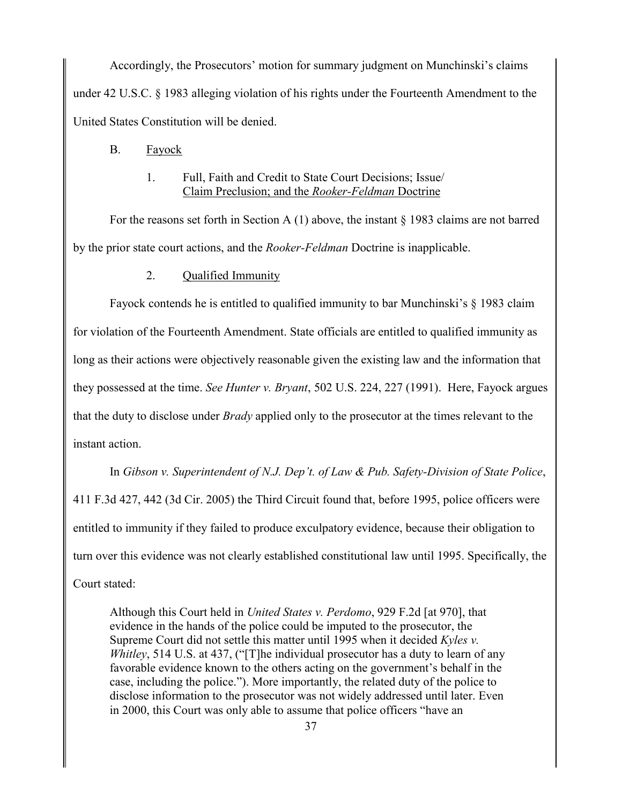Accordingly, the Prosecutors' motion for summary judgment on Munchinski's claims under 42 U.S.C. § 1983 alleging violation of his rights under the Fourteenth Amendment to the United States Constitution will be denied.

# B. Fayock

# 1. Full, Faith and Credit to State Court Decisions; Issue/ Claim Preclusion; and the *Rooker-Feldman* Doctrine

For the reasons set forth in Section A  $(1)$  above, the instant § 1983 claims are not barred by the prior state court actions, and the *Rooker-Feldman* Doctrine is inapplicable.

# 2. Qualified Immunity

Fayock contends he is entitled to qualified immunity to bar Munchinski's § 1983 claim for violation of the Fourteenth Amendment. State officials are entitled to qualified immunity as long as their actions were objectively reasonable given the existing law and the information that they possessed at the time. *See Hunter v. Bryant*, 502 U.S. 224, 227 (1991). Here, Fayock argues that the duty to disclose under *Brady* applied only to the prosecutor at the times relevant to the instant action.

In *Gibson v. Superintendent of N.J. Dep't. of Law & Pub. Safety-Division of State Police*, 411 F.3d 427, 442 (3d Cir. 2005) the Third Circuit found that, before 1995, police officers were entitled to immunity if they failed to produce exculpatory evidence, because their obligation to turn over this evidence was not clearly established constitutional law until 1995. Specifically, the Court stated:

Although this Court held in *United States v. Perdomo*, 929 F.2d [at 970], that evidence in the hands of the police could be imputed to the prosecutor, the Supreme Court did not settle this matter until 1995 when it decided *Kyles v. Whitley*, 514 U.S. at 437, ("[T]he individual prosecutor has a duty to learn of any favorable evidence known to the others acting on the government's behalf in the case, including the police."). More importantly, the related duty of the police to disclose information to the prosecutor was not widely addressed until later. Even in 2000, this Court was only able to assume that police officers "have an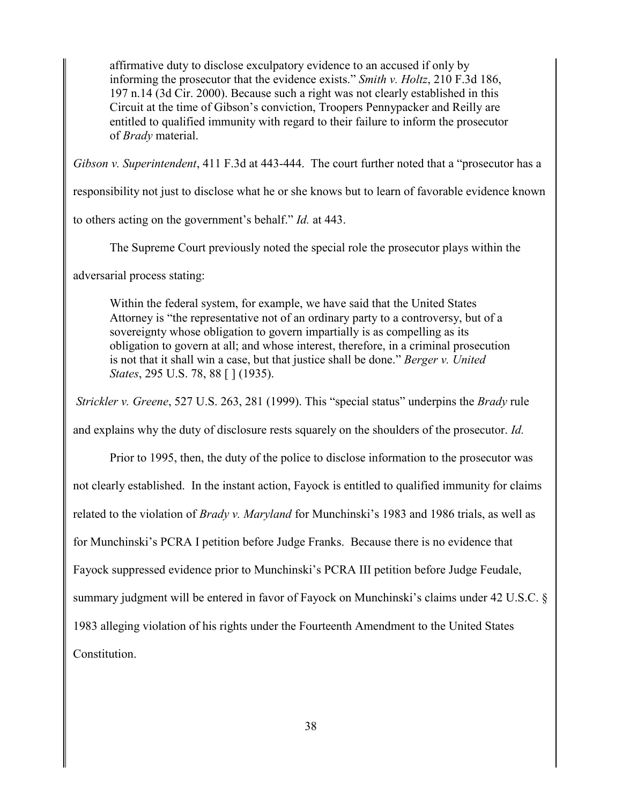affirmative duty to disclose exculpatory evidence to an accused if only by informing the prosecutor that the evidence exists." *Smith v. Holtz*, 210 F.3d 186, 197 n.14 (3d Cir. 2000). Because such a right was not clearly established in this Circuit at the time of Gibson's conviction, Troopers Pennypacker and Reilly are entitled to qualified immunity with regard to their failure to inform the prosecutor of *Brady* material.

*Gibson v. Superintendent*, 411 F.3d at 443-444. The court further noted that a "prosecutor has a

responsibility not just to disclose what he or she knows but to learn of favorable evidence known

to others acting on the government's behalf." *Id.* at 443.

The Supreme Court previously noted the special role the prosecutor plays within the

adversarial process stating:

Within the federal system, for example, we have said that the United States Attorney is "the representative not of an ordinary party to a controversy, but of a sovereignty whose obligation to govern impartially is as compelling as its obligation to govern at all; and whose interest, therefore, in a criminal prosecution is not that it shall win a case, but that justice shall be done." *Berger v. United States*, 295 U.S. 78, 88 [ ] (1935).

*Strickler v. Greene*, 527 U.S. 263, 281 (1999). This "special status" underpins the *Brady* rule

and explains why the duty of disclosure rests squarely on the shoulders of the prosecutor. *Id.*

Prior to 1995, then, the duty of the police to disclose information to the prosecutor was not clearly established. In the instant action, Fayock is entitled to qualified immunity for claims related to the violation of *Brady v. Maryland* for Munchinski's 1983 and 1986 trials, as well as for Munchinski's PCRA I petition before Judge Franks. Because there is no evidence that Fayock suppressed evidence prior to Munchinski's PCRA III petition before Judge Feudale, summary judgment will be entered in favor of Fayock on Munchinski's claims under 42 U.S.C. § 1983 alleging violation of his rights under the Fourteenth Amendment to the United States Constitution.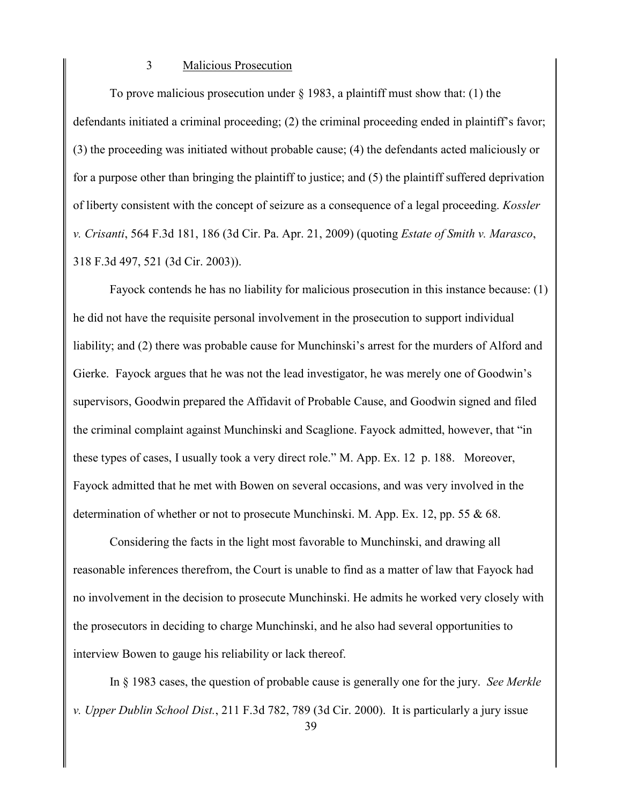#### 3 Malicious Prosecution

To prove malicious prosecution under  $\S$  1983, a plaintiff must show that: (1) the defendants initiated a criminal proceeding; (2) the criminal proceeding ended in plaintiff's favor; (3) the proceeding was initiated without probable cause; (4) the defendants acted maliciously or for a purpose other than bringing the plaintiff to justice; and (5) the plaintiff suffered deprivation of liberty consistent with the concept of seizure as a consequence of a legal proceeding. *Kossler v. Crisanti*, 564 F.3d 181, 186 (3d Cir. Pa. Apr. 21, 2009) (quoting *Estate of Smith v. Marasco*, 318 F.3d 497, 521 (3d Cir. 2003)).

Fayock contends he has no liability for malicious prosecution in this instance because: (1) he did not have the requisite personal involvement in the prosecution to support individual liability; and (2) there was probable cause for Munchinski's arrest for the murders of Alford and Gierke. Fayock argues that he was not the lead investigator, he was merely one of Goodwin's supervisors, Goodwin prepared the Affidavit of Probable Cause, and Goodwin signed and filed the criminal complaint against Munchinski and Scaglione. Fayock admitted, however, that "in these types of cases, I usually took a very direct role." M. App. Ex. 12 p. 188. Moreover, Fayock admitted that he met with Bowen on several occasions, and was very involved in the determination of whether or not to prosecute Munchinski. M. App. Ex. 12, pp. 55 & 68.

Considering the facts in the light most favorable to Munchinski, and drawing all reasonable inferences therefrom, the Court is unable to find as a matter of law that Fayock had no involvement in the decision to prosecute Munchinski. He admits he worked very closely with the prosecutors in deciding to charge Munchinski, and he also had several opportunities to interview Bowen to gauge his reliability or lack thereof.

In § 1983 cases, the question of probable cause is generally one for the jury. *See Merkle v. Upper Dublin School Dist.*, 211 F.3d 782, 789 (3d Cir. 2000). It is particularly a jury issue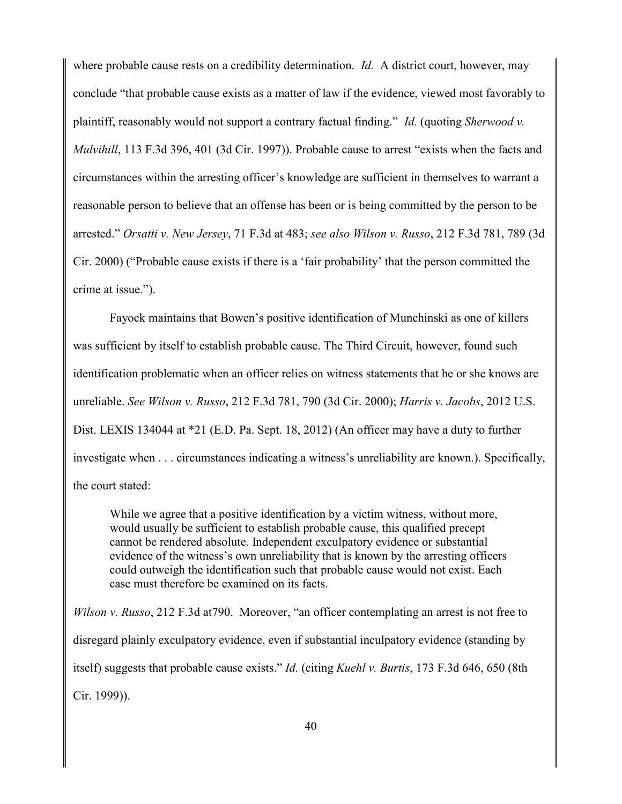where probable cause rests on a credibility determination. *Id.* A district court, however, may conclude "that probable cause exists as a matter of law if the evidence, viewed most favorably to plaintiff, reasonably would not support a contrary factual finding." *Id.* (quoting *Sherwood v. Mulvihill*, 113 F.3d 396, 401 (3d Cir. 1997)). Probable cause to arrest "exists when the facts and circumstances within the arresting officer's knowledge are sufficient in themselves to warrant a reasonable person to believe that an offense has been or is being committed by the person to be arrested." *Orsatti v. New Jersey*, 71 F.3d at 483; *see also Wilson v. Russo*, 212 F.3d 781, 789 (3d Cir. 2000) ("Probable cause exists if there is a 'fair probability' that the person committed the crime at issue.").

Fayock maintains that Bowen's positive identification of Munchinski as one of killers was sufficient by itself to establish probable cause. The Third Circuit, however, found such identification problematic when an officer relies on witness statements that he or she knows are unreliable. *See Wilson v. Russo*, 212 F.3d 781, 790 (3d Cir. 2000); *Harris v. Jacobs*, 2012 U.S. Dist. LEXIS 134044 at \*21 (E.D. Pa. Sept. 18, 2012) (An officer may have a duty to further investigate when . . . circumstances indicating a witness's unreliability are known.). Specifically, the court stated:

While we agree that a positive identification by a victim witness, without more, would usually be sufficient to establish probable cause, this qualified precept cannot be rendered absolute. Independent exculpatory evidence or substantial evidence of the witness's own unreliability that is known by the arresting officers could outweigh the identification such that probable cause would not exist. Each case must therefore be examined on its facts.

*Wilson v. Russo*, 212 F.3d at790. Moreover, "an officer contemplating an arrest is not free to disregard plainly exculpatory evidence, even if substantial inculpatory evidence (standing by itself) suggests that probable cause exists." *Id.* (citing *Kuehl v. Burtis*, 173 F.3d 646, 650 (8th Cir. 1999)).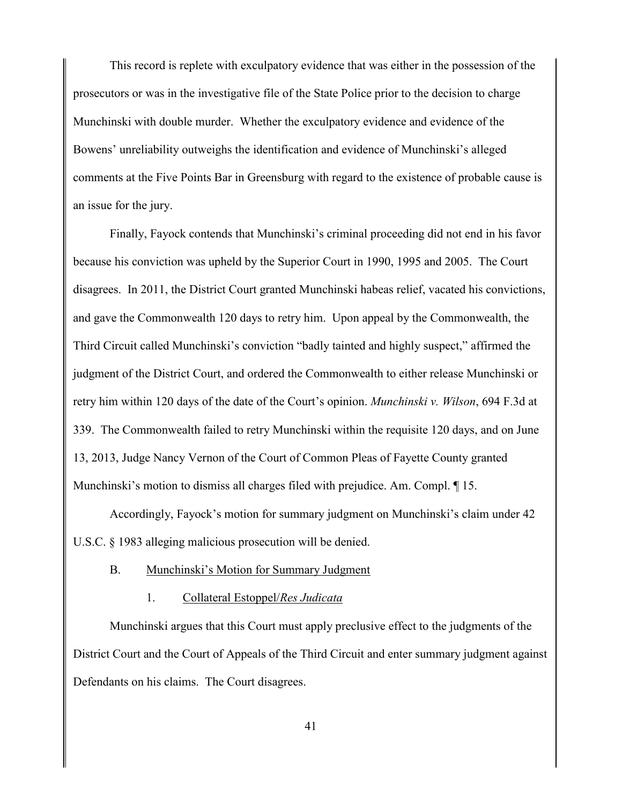This record is replete with exculpatory evidence that was either in the possession of the prosecutors or was in the investigative file of the State Police prior to the decision to charge Munchinski with double murder. Whether the exculpatory evidence and evidence of the Bowens' unreliability outweighs the identification and evidence of Munchinski's alleged comments at the Five Points Bar in Greensburg with regard to the existence of probable cause is an issue for the jury.

Finally, Fayock contends that Munchinski's criminal proceeding did not end in his favor because his conviction was upheld by the Superior Court in 1990, 1995 and 2005. The Court disagrees. In 2011, the District Court granted Munchinski habeas relief, vacated his convictions, and gave the Commonwealth 120 days to retry him. Upon appeal by the Commonwealth, the Third Circuit called Munchinski's conviction "badly tainted and highly suspect," affirmed the judgment of the District Court, and ordered the Commonwealth to either release Munchinski or retry him within 120 days of the date of the Court's opinion. *Munchinski v. Wilson*, 694 F.3d at 339. The Commonwealth failed to retry Munchinski within the requisite 120 days, and on June 13, 2013, Judge Nancy Vernon of the Court of Common Pleas of Fayette County granted Munchinski's motion to dismiss all charges filed with prejudice. Am. Compl. ¶ 15.

Accordingly, Fayock's motion for summary judgment on Munchinski's claim under 42 U.S.C. § 1983 alleging malicious prosecution will be denied.

# B. Munchinski's Motion for Summary Judgment

### 1. Collateral Estoppel/*Res Judicata*

Munchinski argues that this Court must apply preclusive effect to the judgments of the District Court and the Court of Appeals of the Third Circuit and enter summary judgment against Defendants on his claims. The Court disagrees.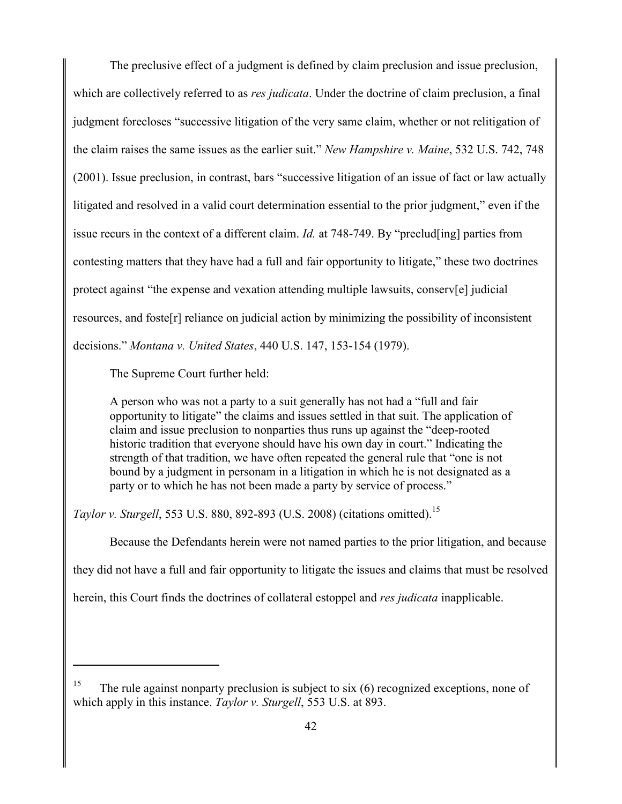The preclusive effect of a judgment is defined by claim preclusion and issue preclusion, which are collectively referred to as *res judicata*. Under the doctrine of claim preclusion, a final judgment forecloses "successive litigation of the very same claim, whether or not relitigation of the claim raises the same issues as the earlier suit." *New Hampshire v. Maine*, 532 U.S. 742, 748 (2001). Issue preclusion, in contrast, bars "successive litigation of an issue of fact or law actually litigated and resolved in a valid court determination essential to the prior judgment," even if the issue recurs in the context of a different claim. *Id.* at 748-749. By "preclud[ing] parties from contesting matters that they have had a full and fair opportunity to litigate," these two doctrines protect against "the expense and vexation attending multiple lawsuits, conserv[e] judicial resources, and foste[r] reliance on judicial action by minimizing the possibility of inconsistent decisions." *Montana v. United States*, 440 U.S. 147, 153-154 (1979).

The Supreme Court further held:

 $\overline{a}$ 

A person who was not a party to a suit generally has not had a "full and fair opportunity to litigate" the claims and issues settled in that suit. The application of claim and issue preclusion to nonparties thus runs up against the "deep-rooted historic tradition that everyone should have his own day in court." Indicating the strength of that tradition, we have often repeated the general rule that "one is not bound by a judgment in personam in a litigation in which he is not designated as a party or to which he has not been made a party by service of process."

*Taylor v. Sturgell*, 553 U.S. 880, 892-893 (U.S. 2008) (citations omitted). 15

Because the Defendants herein were not named parties to the prior litigation, and because

they did not have a full and fair opportunity to litigate the issues and claims that must be resolved

herein, this Court finds the doctrines of collateral estoppel and *res judicata* inapplicable.

<sup>15</sup> The rule against nonparty preclusion is subject to six (6) recognized exceptions, none of which apply in this instance. *Taylor v. Sturgell*, 553 U.S. at 893.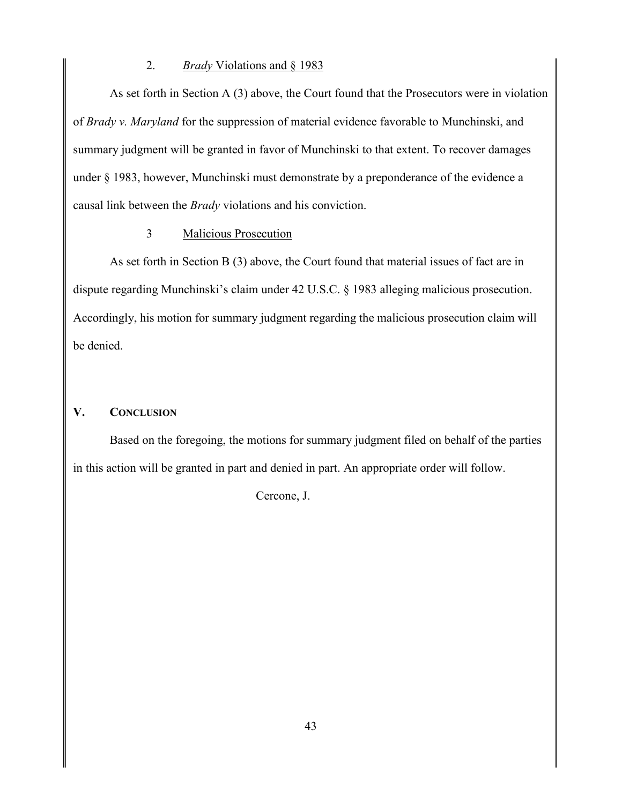### 2. *Brady* Violations and § 1983

As set forth in Section A (3) above, the Court found that the Prosecutors were in violation of *Brady v. Maryland* for the suppression of material evidence favorable to Munchinski, and summary judgment will be granted in favor of Munchinski to that extent. To recover damages under § 1983, however, Munchinski must demonstrate by a preponderance of the evidence a causal link between the *Brady* violations and his conviction.

## 3 Malicious Prosecution

As set forth in Section B (3) above, the Court found that material issues of fact are in dispute regarding Munchinski's claim under 42 U.S.C. § 1983 alleging malicious prosecution. Accordingly, his motion for summary judgment regarding the malicious prosecution claim will be denied.

# **V. CONCLUSION**

Based on the foregoing, the motions for summary judgment filed on behalf of the parties in this action will be granted in part and denied in part. An appropriate order will follow.

Cercone, J.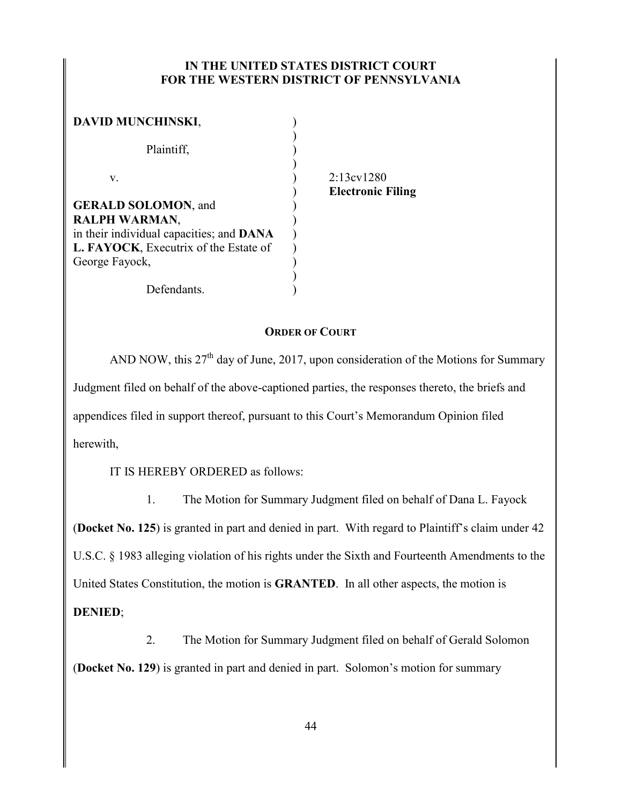# **IN THE UNITED STATES DISTRICT COURT FOR THE WESTERN DISTRICT OF PENNSYLVANIA**

| <b>DAVID MUNCHINSKI,</b>                 |  |
|------------------------------------------|--|
|                                          |  |
| Plaintiff,                               |  |
|                                          |  |
| V.                                       |  |
|                                          |  |
| <b>GERALD SOLOMON, and</b>               |  |
| <b>RALPH WARMAN,</b>                     |  |
| in their individual capacities; and DANA |  |
| L. FAYOCK, Executrix of the Estate of    |  |
| George Fayock,                           |  |
|                                          |  |
| Defendants.                              |  |

 $2.13 \text{cv} 1280$ ) **Electronic Filing**

## **ORDER OF COURT**

AND NOW, this  $27<sup>th</sup>$  day of June, 2017, upon consideration of the Motions for Summary Judgment filed on behalf of the above-captioned parties, the responses thereto, the briefs and appendices filed in support thereof, pursuant to this Court's Memorandum Opinion filed herewith,

IT IS HEREBY ORDERED as follows:

1. The Motion for Summary Judgment filed on behalf of Dana L. Fayock (**Docket No. 125**) is granted in part and denied in part. With regard to Plaintiff's claim under 42 U.S.C. § 1983 alleging violation of his rights under the Sixth and Fourteenth Amendments to the United States Constitution, the motion is **GRANTED**. In all other aspects, the motion is **DENIED**;

2. The Motion for Summary Judgment filed on behalf of Gerald Solomon (**Docket No. 129**) is granted in part and denied in part. Solomon's motion for summary